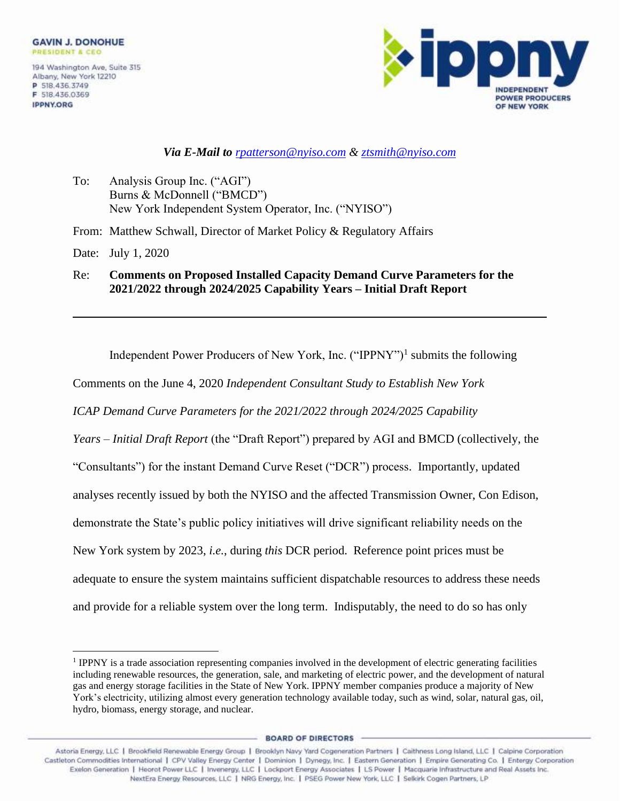**IPPNY.ORG** 



## *Via E-Mail to [rpatterson@nyiso.com](mailto:rpatterson@nyiso.com) & ztsmith@nyiso.com*

To: Analysis Group Inc. ("AGI") Burns & McDonnell ("BMCD") New York Independent System Operator, Inc. ("NYISO")

From: Matthew Schwall, Director of Market Policy & Regulatory Affairs

Date: July 1, 2020

Re: **Comments on Proposed Installed Capacity Demand Curve Parameters for the 2021/2022 through 2024/2025 Capability Years – Initial Draft Report**

Independent Power Producers of New York, Inc. ("IPPNY")<sup>1</sup> submits the following

Comments on the June 4, 2020 *Independent Consultant Study to Establish New York* 

*ICAP Demand Curve Parameters for the 2021/2022 through 2024/2025 Capability* 

*Years – Initial Draft Report* (the "Draft Report") prepared by AGI and BMCD (collectively, the "Consultants") for the instant Demand Curve Reset ("DCR") process. Importantly, updated analyses recently issued by both the NYISO and the affected Transmission Owner, Con Edison, demonstrate the State's public policy initiatives will drive significant reliability needs on the New York system by 2023, *i.e.*, during *this* DCR period. Reference point prices must be adequate to ensure the system maintains sufficient dispatchable resources to address these needs and provide for a reliable system over the long term. Indisputably, the need to do so has only

**BOARD OF DIRECTORS** 

<sup>&</sup>lt;sup>1</sup> IPPNY is a trade association representing companies involved in the development of electric generating facilities including renewable resources, the generation, sale, and marketing of electric power, and the development of natural gas and energy storage facilities in the State of New York. IPPNY member companies produce a majority of New York's electricity, utilizing almost every generation technology available today, such as wind, solar, natural gas, oil, hydro, biomass, energy storage, and nuclear.

Astoria Energy, LLC | Brookfield Renewable Energy Group | Brooklyn Navy Yard Cogeneration Partners | Caithness Long Island, LLC | Calpine Corporation Castleton Commodities International | CPV Valley Energy Center | Dominion | Dynegy, Inc. | Eastern Generation | Empire Generating Co. | Entergy Corporation Exelon Generation | Heorot Power LLC | Invenergy, LLC | Lockport Energy Associates | LS Power | Macquarie Infrastructure and Real Assets Inc. NextEra Energy Resources, LLC | NRG Energy, Inc. | PSEG Power New York, LLC | Selkirk Cogen Partners, LP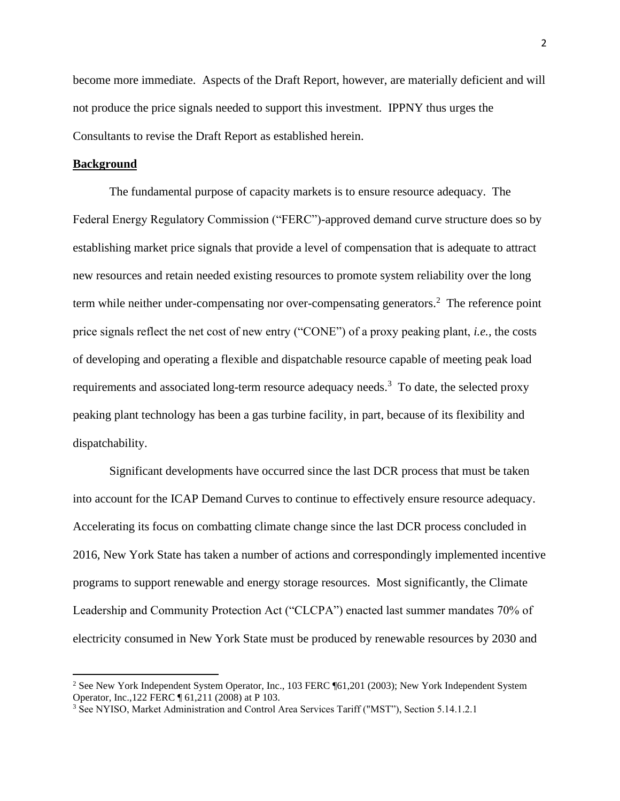become more immediate. Aspects of the Draft Report, however, are materially deficient and will not produce the price signals needed to support this investment. IPPNY thus urges the Consultants to revise the Draft Report as established herein.

#### **Background**

The fundamental purpose of capacity markets is to ensure resource adequacy. The Federal Energy Regulatory Commission ("FERC")-approved demand curve structure does so by establishing market price signals that provide a level of compensation that is adequate to attract new resources and retain needed existing resources to promote system reliability over the long term while neither under-compensating nor over-compensating generators. <sup>2</sup> The reference point price signals reflect the net cost of new entry ("CONE") of a proxy peaking plant, *i.e.,* the costs of developing and operating a flexible and dispatchable resource capable of meeting peak load requirements and associated long-term resource adequacy needs.<sup>3</sup> To date, the selected proxy peaking plant technology has been a gas turbine facility, in part, because of its flexibility and dispatchability.

Significant developments have occurred since the last DCR process that must be taken into account for the ICAP Demand Curves to continue to effectively ensure resource adequacy. Accelerating its focus on combatting climate change since the last DCR process concluded in 2016, New York State has taken a number of actions and correspondingly implemented incentive programs to support renewable and energy storage resources. Most significantly, the Climate Leadership and Community Protection Act ("CLCPA") enacted last summer mandates 70% of electricity consumed in New York State must be produced by renewable resources by 2030 and

<sup>&</sup>lt;sup>2</sup> See New York Independent System Operator, Inc., 103 FERC ¶61,201 (2003); New York Independent System Operator, Inc.,122 FERC ¶ 61,211 (2008) at P 103.

<sup>3</sup> See NYISO, Market Administration and Control Area Services Tariff ("MST"), Section 5.14.1.2.1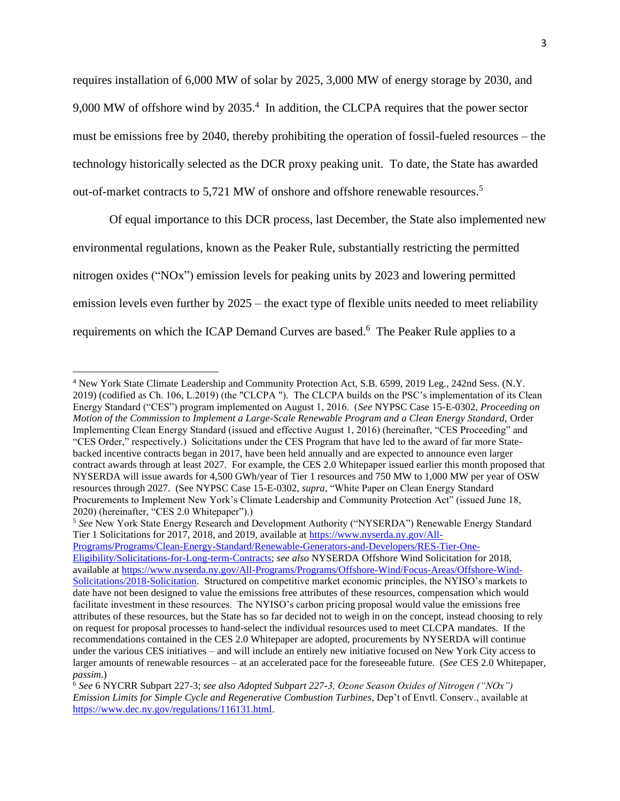requires installation of 6,000 MW of solar by 2025, 3,000 MW of energy storage by 2030, and 9,000 MW of offshore wind by 2035.<sup>4</sup> In addition, the CLCPA requires that the power sector must be emissions free by 2040, thereby prohibiting the operation of fossil-fueled resources – the technology historically selected as the DCR proxy peaking unit. To date, the State has awarded out-of-market contracts to 5,721 MW of onshore and offshore renewable resources.<sup>5</sup>

Of equal importance to this DCR process, last December, the State also implemented new environmental regulations, known as the Peaker Rule, substantially restricting the permitted nitrogen oxides ("NOx") emission levels for peaking units by 2023 and lowering permitted emission levels even further by 2025 – the exact type of flexible units needed to meet reliability requirements on which the ICAP Demand Curves are based.<sup>6</sup> The Peaker Rule applies to a

<sup>5</sup> *See* New York State Energy Research and Development Authority ("NYSERDA") Renewable Energy Standard Tier 1 Solicitations for 2017, 2018, and 2019, available at [https://www.nyserda.ny.gov/All-](https://www.nyserda.ny.gov/All-Programs/Programs/Clean-Energy-Standard/Renewable-Generators-and-Developers/RES-Tier-One-Eligibility/Solicitations-for-Long-term-Contracts)[Programs/Programs/Clean-Energy-Standard/Renewable-Generators-and-Developers/RES-Tier-One-](https://www.nyserda.ny.gov/All-Programs/Programs/Clean-Energy-Standard/Renewable-Generators-and-Developers/RES-Tier-One-Eligibility/Solicitations-for-Long-term-Contracts)[Eligibility/Solicitations-for-Long-term-Contracts;](https://www.nyserda.ny.gov/All-Programs/Programs/Clean-Energy-Standard/Renewable-Generators-and-Developers/RES-Tier-One-Eligibility/Solicitations-for-Long-term-Contracts) *see also* NYSERDA Offshore Wind Solicitation for 2018, available at [https://www.nyserda.ny.gov/All-Programs/Programs/Offshore-Wind/Focus-Areas/Offshore-Wind-](https://www.nyserda.ny.gov/All-Programs/Programs/Offshore-Wind/Focus-Areas/Offshore-Wind-Solicitations/2018-Solicitation)[Solicitations/2018-Solicitation.](https://www.nyserda.ny.gov/All-Programs/Programs/Offshore-Wind/Focus-Areas/Offshore-Wind-Solicitations/2018-Solicitation) Structured on competitive market economic principles, the NYISO's markets to date have not been designed to value the emissions free attributes of these resources, compensation which would facilitate investment in these resources. The NYISO's carbon pricing proposal would value the emissions free attributes of these resources, but the State has so far decided not to weigh in on the concept, instead choosing to rely on request for proposal processes to hand-select the individual resources used to meet CLCPA mandates. If the recommendations contained in the CES 2.0 Whitepaper are adopted, procurements by NYSERDA will continue under the various CES initiatives – and will include an entirely new initiative focused on New York City access to larger amounts of renewable resources – at an accelerated pace for the foreseeable future. (*See* CES 2.0 Whitepaper, *passim*.)

<sup>4</sup> New York State Climate Leadership and Community Protection Act, S.B. 6599, 2019 Leg., 242nd Sess. (N.Y. 2019) (codifìed as Ch. 106, L.2019) (the "CLCPA "). The CLCPA builds on the PSC's implementation of its Clean Energy Standard ("CES") program implemented on August 1, 2016. (*See* NYPSC Case 15-E-0302, *Proceeding on Motion of the Commission to Implement a Large-Scale Renewable Program and a Clean Energy Standard,* Order Implementing Clean Energy Standard (issued and effective August 1, 2016) (hereinafter, "CES Proceeding" and "CES Order," respectively.) Solicitations under the CES Program that have led to the award of far more Statebacked incentive contracts began in 2017, have been held annually and are expected to announce even larger contract awards through at least 2027. For example, the CES 2.0 Whitepaper issued earlier this month proposed that NYSERDA will issue awards for 4,500 GWh/year of Tier 1 resources and 750 MW to 1,000 MW per year of OSW resources through 2027. (See NYPSC Case 15-E-0302, *supra*, "White Paper on Clean Energy Standard Procurements to Implement New York's Climate Leadership and Community Protection Act" (issued June 18, 2020) (hereinafter, "CES 2.0 Whitepaper").)

<sup>6</sup> *See* 6 NYCRR Subpart 227-3; *see also Adopted Subpart 227-3, Ozone Season Oxides of Nitrogen ("NOx") Emission Limits for Simple Cycle and Regenerative Combustion Turbines*, Dep't of Envtl. Conserv., available at [https://www.dec.ny.gov/regulations/116131.html.](https://www.dec.ny.gov/regulations/116131.html)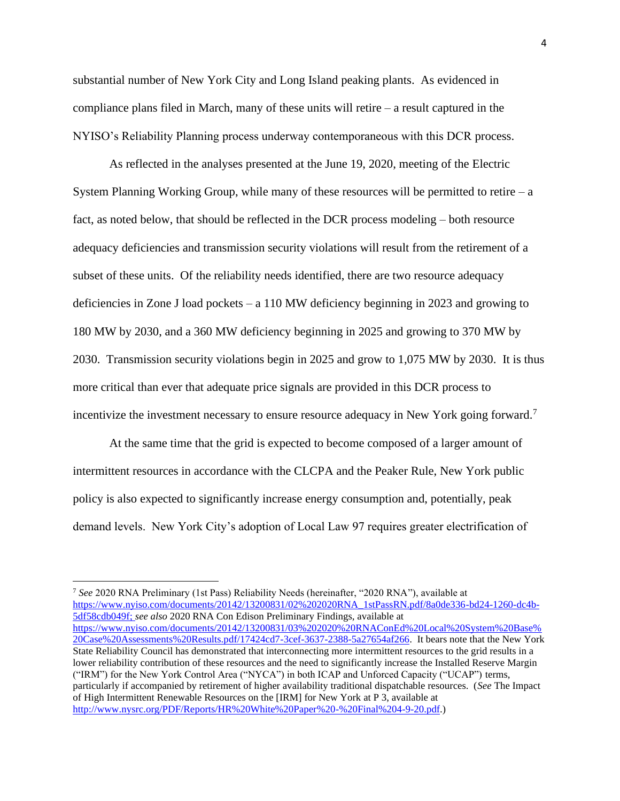substantial number of New York City and Long Island peaking plants. As evidenced in compliance plans filed in March, many of these units will retire – a result captured in the NYISO's Reliability Planning process underway contemporaneous with this DCR process.

As reflected in the analyses presented at the June 19, 2020, meeting of the Electric System Planning Working Group, while many of these resources will be permitted to retire  $-a$ fact, as noted below, that should be reflected in the DCR process modeling – both resource adequacy deficiencies and transmission security violations will result from the retirement of a subset of these units. Of the reliability needs identified, there are two resource adequacy deficiencies in Zone J load pockets – a 110 MW deficiency beginning in 2023 and growing to 180 MW by 2030, and a 360 MW deficiency beginning in 2025 and growing to 370 MW by 2030. Transmission security violations begin in 2025 and grow to 1,075 MW by 2030. It is thus more critical than ever that adequate price signals are provided in this DCR process to incentivize the investment necessary to ensure resource adequacy in New York going forward.<sup>7</sup>

At the same time that the grid is expected to become composed of a larger amount of intermittent resources in accordance with the CLCPA and the Peaker Rule, New York public policy is also expected to significantly increase energy consumption and, potentially, peak demand levels. New York City's adoption of Local Law 97 requires greater electrification of

<sup>7</sup> *See* 2020 RNA Preliminary (1st Pass) Reliability Needs (hereinafter, "2020 RNA"), available at [https://www.nyiso.com/documents/20142/13200831/02%202020RNA\\_1stPassRN.pdf/8a0de336-bd24-1260-dc4b-](https://www.nyiso.com/documents/20142/13200831/02%202020RNA_1stPassRN.pdf/8a0de336-bd24-1260-dc4b-5df58cdb049f)[5df58cdb049f;](https://www.nyiso.com/documents/20142/13200831/02%202020RNA_1stPassRN.pdf/8a0de336-bd24-1260-dc4b-5df58cdb049f) *see also* 2020 RNA Con Edison Preliminary Findings, available at [https://www.nyiso.com/documents/20142/13200831/03%202020%20RNAConEd%20Local%20System%20Base%](https://www.nyiso.com/documents/20142/13200831/03%202020%20RNAConEd%20Local%20System%20Base%20Case%20Assessments%20Results.pdf/17424cd7-3cef-3637-2388-5a27654af266) [20Case%20Assessments%20Results.pdf/17424cd7-3cef-3637-2388-5a27654af266.](https://www.nyiso.com/documents/20142/13200831/03%202020%20RNAConEd%20Local%20System%20Base%20Case%20Assessments%20Results.pdf/17424cd7-3cef-3637-2388-5a27654af266) It bears note that the New York State Reliability Council has demonstrated that interconnecting more intermittent resources to the grid results in a lower reliability contribution of these resources and the need to significantly increase the Installed Reserve Margin ("IRM") for the New York Control Area ("NYCA") in both ICAP and Unforced Capacity ("UCAP") terms, particularly if accompanied by retirement of higher availability traditional dispatchable resources. (*See* The Impact of High Intermittent Renewable Resources on the [IRM] for New York at P 3, available at [http://www.nysrc.org/PDF/Reports/HR%20White%20Paper%20-%20Final%204-9-20.pdf.](http://www.nysrc.org/PDF/Reports/HR%20White%20Paper%20-%20Final%204-9-20.pdf))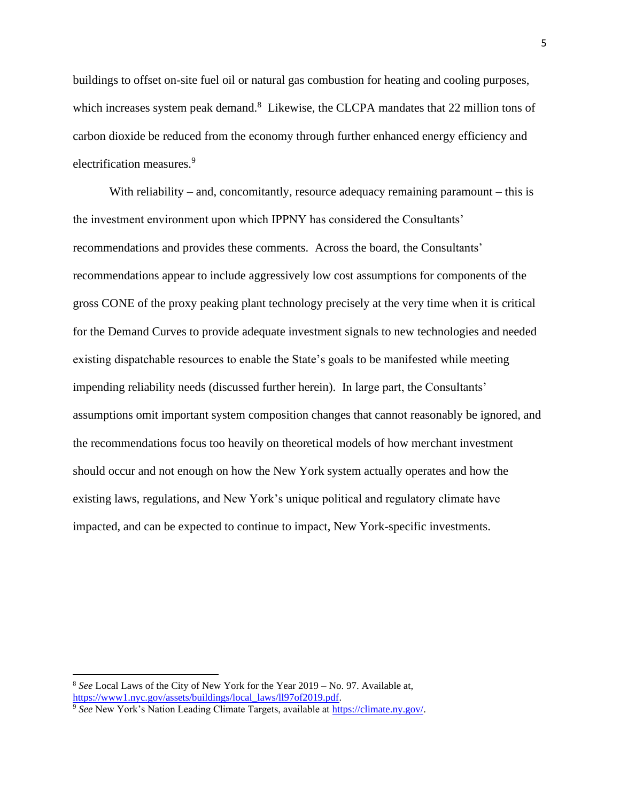buildings to offset on-site fuel oil or natural gas combustion for heating and cooling purposes, which increases system peak demand. $8$  Likewise, the CLCPA mandates that 22 million tons of carbon dioxide be reduced from the economy through further enhanced energy efficiency and electrification measures.<sup>9</sup>

With reliability – and, concomitantly, resource adequacy remaining paramount – this is the investment environment upon which IPPNY has considered the Consultants' recommendations and provides these comments. Across the board, the Consultants' recommendations appear to include aggressively low cost assumptions for components of the gross CONE of the proxy peaking plant technology precisely at the very time when it is critical for the Demand Curves to provide adequate investment signals to new technologies and needed existing dispatchable resources to enable the State's goals to be manifested while meeting impending reliability needs (discussed further herein). In large part, the Consultants' assumptions omit important system composition changes that cannot reasonably be ignored, and the recommendations focus too heavily on theoretical models of how merchant investment should occur and not enough on how the New York system actually operates and how the existing laws, regulations, and New York's unique political and regulatory climate have impacted, and can be expected to continue to impact, New York-specific investments.

<sup>8</sup> *See* Local Laws of the City of New York for the Year 2019 – No. 97. Available at, [https://www1.nyc.gov/assets/buildings/local\\_laws/ll97of2019.pdf.](https://www1.nyc.gov/assets/buildings/local_laws/ll97of2019.pdf)

<sup>9</sup> *See* New York's Nation Leading Climate Targets, available at [https://climate.ny.gov/.](https://climate.ny.gov/)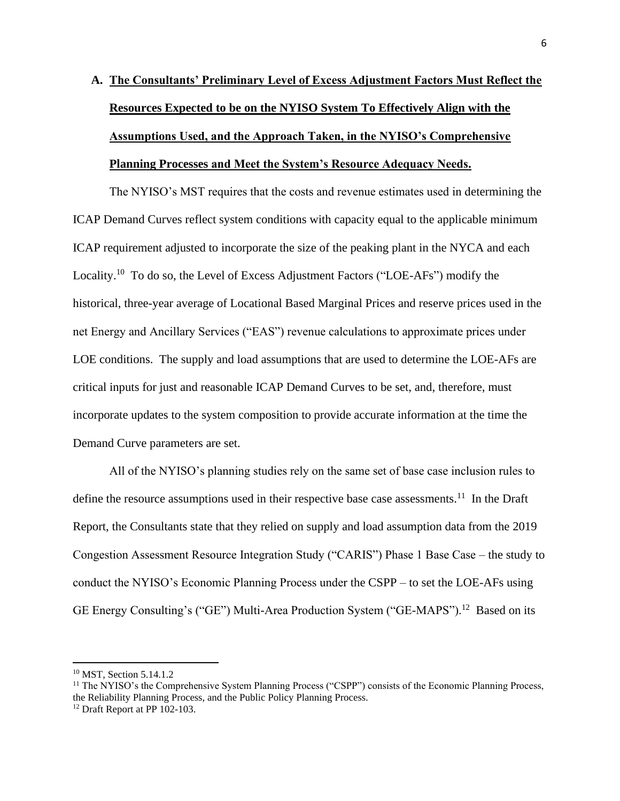# **A. The Consultants' Preliminary Level of Excess Adjustment Factors Must Reflect the Resources Expected to be on the NYISO System To Effectively Align with the Assumptions Used, and the Approach Taken, in the NYISO's Comprehensive Planning Processes and Meet the System's Resource Adequacy Needs.**

The NYISO's MST requires that the costs and revenue estimates used in determining the ICAP Demand Curves reflect system conditions with capacity equal to the applicable minimum ICAP requirement adjusted to incorporate the size of the peaking plant in the NYCA and each Locality.<sup>10</sup> To do so, the Level of Excess Adjustment Factors ("LOE-AFs") modify the historical, three-year average of Locational Based Marginal Prices and reserve prices used in the net Energy and Ancillary Services ("EAS") revenue calculations to approximate prices under LOE conditions. The supply and load assumptions that are used to determine the LOE-AFs are critical inputs for just and reasonable ICAP Demand Curves to be set, and, therefore, must incorporate updates to the system composition to provide accurate information at the time the Demand Curve parameters are set.

All of the NYISO's planning studies rely on the same set of base case inclusion rules to define the resource assumptions used in their respective base case assessments.<sup>11</sup> In the Draft Report, the Consultants state that they relied on supply and load assumption data from the 2019 Congestion Assessment Resource Integration Study ("CARIS") Phase 1 Base Case – the study to conduct the NYISO's Economic Planning Process under the CSPP – to set the LOE-AFs using GE Energy Consulting's ("GE") Multi-Area Production System ("GE-MAPS").<sup>12</sup> Based on its

<sup>10</sup> MST, Section 5.14.1.2

<sup>&</sup>lt;sup>11</sup> The NYISO's the Comprehensive System Planning Process ("CSPP") consists of the Economic Planning Process, the Reliability Planning Process, and the Public Policy Planning Process.

<sup>&</sup>lt;sup>12</sup> Draft Report at PP 102-103.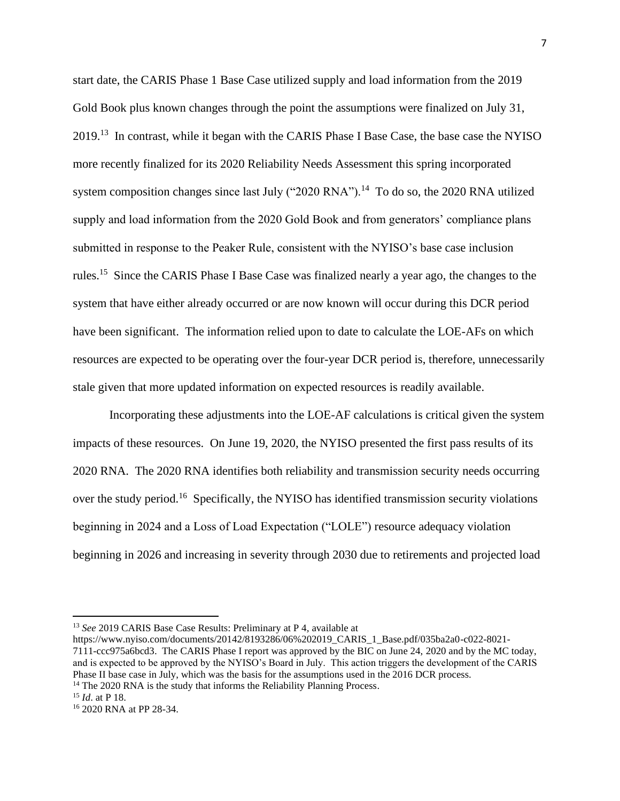start date, the CARIS Phase 1 Base Case utilized supply and load information from the 2019 Gold Book plus known changes through the point the assumptions were finalized on July 31, 2019.<sup>13</sup> In contrast, while it began with the CARIS Phase I Base Case, the base case the NYISO more recently finalized for its 2020 Reliability Needs Assessment this spring incorporated system composition changes since last July ("2020 RNA").<sup>14</sup> To do so, the 2020 RNA utilized supply and load information from the 2020 Gold Book and from generators' compliance plans submitted in response to the Peaker Rule, consistent with the NYISO's base case inclusion rules.<sup>15</sup> Since the CARIS Phase I Base Case was finalized nearly a year ago, the changes to the system that have either already occurred or are now known will occur during this DCR period have been significant. The information relied upon to date to calculate the LOE-AFs on which resources are expected to be operating over the four-year DCR period is, therefore, unnecessarily stale given that more updated information on expected resources is readily available.

Incorporating these adjustments into the LOE-AF calculations is critical given the system impacts of these resources. On June 19, 2020, the NYISO presented the first pass results of its 2020 RNA. The 2020 RNA identifies both reliability and transmission security needs occurring over the study period.<sup>16</sup> Specifically, the NYISO has identified transmission security violations beginning in 2024 and a Loss of Load Expectation ("LOLE") resource adequacy violation beginning in 2026 and increasing in severity through 2030 due to retirements and projected load

<sup>13</sup> *See* 2019 CARIS Base Case Results: Preliminary at P 4*,* available at

https://www.nyiso.com/documents/20142/8193286/06%202019\_CARIS\_1\_Base.pdf/035ba2a0-c022-8021- 7111-ccc975a6bcd3. The CARIS Phase I report was approved by the BIC on June 24, 2020 and by the MC today, and is expected to be approved by the NYISO's Board in July. This action triggers the development of the CARIS Phase II base case in July, which was the basis for the assumptions used in the 2016 DCR process.

 $14$  The 2020 RNA is the study that informs the Reliability Planning Process.

<sup>15</sup> *Id*. at P 18.

<sup>16</sup> 2020 RNA at PP 28-34.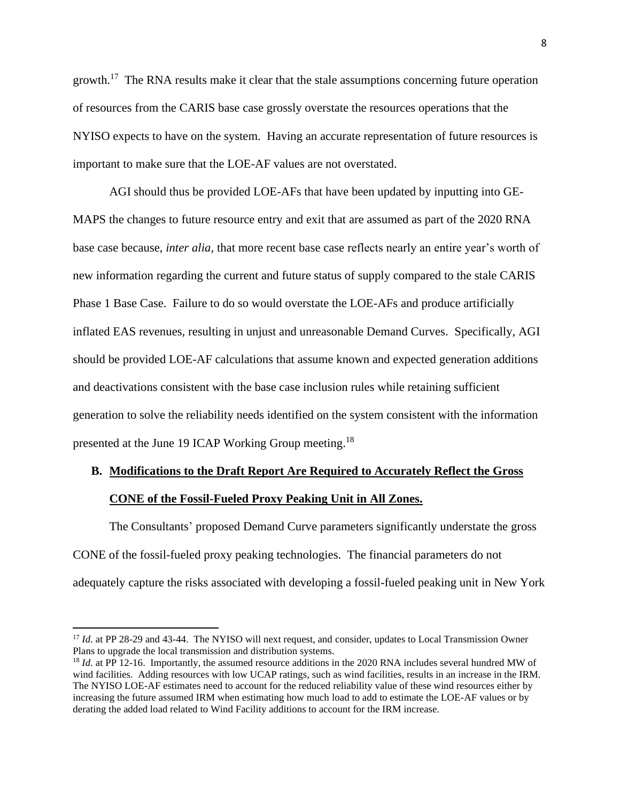growth.<sup>17</sup> The RNA results make it clear that the stale assumptions concerning future operation of resources from the CARIS base case grossly overstate the resources operations that the NYISO expects to have on the system. Having an accurate representation of future resources is important to make sure that the LOE-AF values are not overstated.

AGI should thus be provided LOE-AFs that have been updated by inputting into GE-MAPS the changes to future resource entry and exit that are assumed as part of the 2020 RNA base case because, *inter alia,* that more recent base case reflects nearly an entire year's worth of new information regarding the current and future status of supply compared to the stale CARIS Phase 1 Base Case. Failure to do so would overstate the LOE-AFs and produce artificially inflated EAS revenues, resulting in unjust and unreasonable Demand Curves. Specifically, AGI should be provided LOE-AF calculations that assume known and expected generation additions and deactivations consistent with the base case inclusion rules while retaining sufficient generation to solve the reliability needs identified on the system consistent with the information presented at the June 19 ICAP Working Group meeting.<sup>18</sup>

## **B. Modifications to the Draft Report Are Required to Accurately Reflect the Gross**

## **CONE of the Fossil-Fueled Proxy Peaking Unit in All Zones.**

The Consultants' proposed Demand Curve parameters significantly understate the gross CONE of the fossil-fueled proxy peaking technologies. The financial parameters do not adequately capture the risks associated with developing a fossil-fueled peaking unit in New York

<sup>&</sup>lt;sup>17</sup> *Id.* at PP 28-29 and 43-44. The NYISO will next request, and consider, updates to Local Transmission Owner Plans to upgrade the local transmission and distribution systems.

<sup>&</sup>lt;sup>18</sup> *Id.* at PP 12-16. Importantly, the assumed resource additions in the 2020 RNA includes several hundred MW of wind facilities. Adding resources with low UCAP ratings, such as wind facilities, results in an increase in the IRM. The NYISO LOE-AF estimates need to account for the reduced reliability value of these wind resources either by increasing the future assumed IRM when estimating how much load to add to estimate the LOE-AF values or by derating the added load related to Wind Facility additions to account for the IRM increase.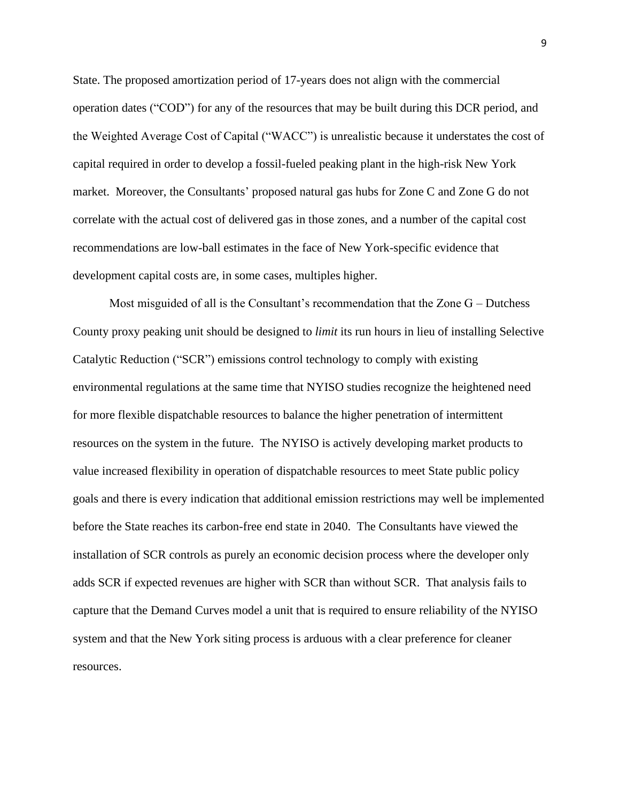State. The proposed amortization period of 17-years does not align with the commercial operation dates ("COD") for any of the resources that may be built during this DCR period, and the Weighted Average Cost of Capital ("WACC") is unrealistic because it understates the cost of capital required in order to develop a fossil-fueled peaking plant in the high-risk New York market. Moreover, the Consultants' proposed natural gas hubs for Zone C and Zone G do not correlate with the actual cost of delivered gas in those zones, and a number of the capital cost recommendations are low-ball estimates in the face of New York-specific evidence that development capital costs are, in some cases, multiples higher.

Most misguided of all is the Consultant's recommendation that the Zone G – Dutchess County proxy peaking unit should be designed to *limit* its run hours in lieu of installing Selective Catalytic Reduction ("SCR") emissions control technology to comply with existing environmental regulations at the same time that NYISO studies recognize the heightened need for more flexible dispatchable resources to balance the higher penetration of intermittent resources on the system in the future. The NYISO is actively developing market products to value increased flexibility in operation of dispatchable resources to meet State public policy goals and there is every indication that additional emission restrictions may well be implemented before the State reaches its carbon-free end state in 2040. The Consultants have viewed the installation of SCR controls as purely an economic decision process where the developer only adds SCR if expected revenues are higher with SCR than without SCR. That analysis fails to capture that the Demand Curves model a unit that is required to ensure reliability of the NYISO system and that the New York siting process is arduous with a clear preference for cleaner resources.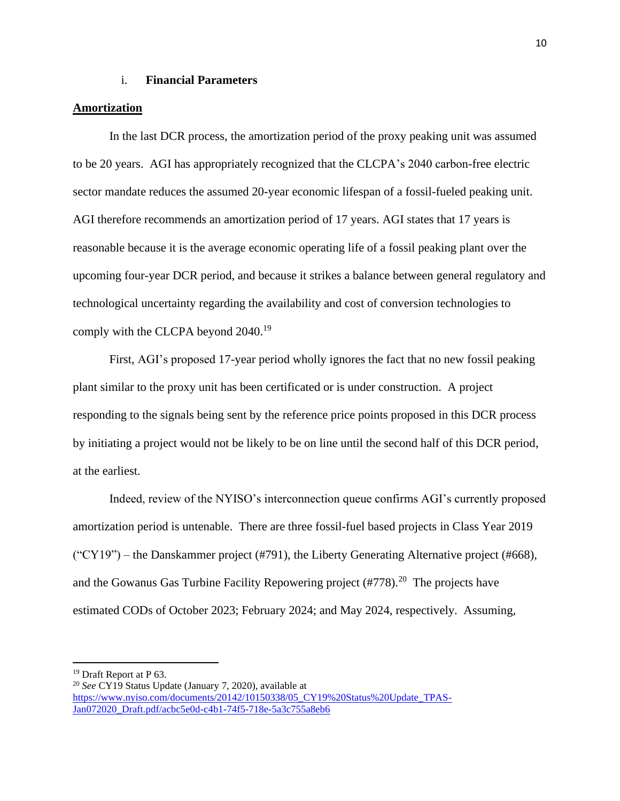## i. **Financial Parameters**

## **Amortization**

In the last DCR process, the amortization period of the proxy peaking unit was assumed to be 20 years. AGI has appropriately recognized that the CLCPA's 2040 carbon-free electric sector mandate reduces the assumed 20-year economic lifespan of a fossil-fueled peaking unit. AGI therefore recommends an amortization period of 17 years. AGI states that 17 years is reasonable because it is the average economic operating life of a fossil peaking plant over the upcoming four-year DCR period, and because it strikes a balance between general regulatory and technological uncertainty regarding the availability and cost of conversion technologies to comply with the CLCPA beyond 2040.<sup>19</sup>

First, AGI's proposed 17-year period wholly ignores the fact that no new fossil peaking plant similar to the proxy unit has been certificated or is under construction. A project responding to the signals being sent by the reference price points proposed in this DCR process by initiating a project would not be likely to be on line until the second half of this DCR period, at the earliest.

Indeed, review of the NYISO's interconnection queue confirms AGI's currently proposed amortization period is untenable. There are three fossil-fuel based projects in Class Year 2019  $("CY19")$  – the Danskammer project (#791), the Liberty Generating Alternative project (#668), and the Gowanus Gas Turbine Facility Repowering project  $(\text{\#778})$ <sup>20</sup> The projects have estimated CODs of October 2023; February 2024; and May 2024, respectively. Assuming,

<sup>19</sup> Draft Report at P 63.

<sup>20</sup> *See* CY19 Status Update (January 7, 2020), available at [https://www.nyiso.com/documents/20142/10150338/05\\_CY19%20Status%20Update\\_TPAS-](https://www.nyiso.com/documents/20142/10150338/05_CY19%20Status%20Update_TPAS-Jan072020_Draft.pdf/acbc5e0d-c4b1-74f5-718e-5a3c755a8eb6)[Jan072020\\_Draft.pdf/acbc5e0d-c4b1-74f5-718e-5a3c755a8eb6](https://www.nyiso.com/documents/20142/10150338/05_CY19%20Status%20Update_TPAS-Jan072020_Draft.pdf/acbc5e0d-c4b1-74f5-718e-5a3c755a8eb6)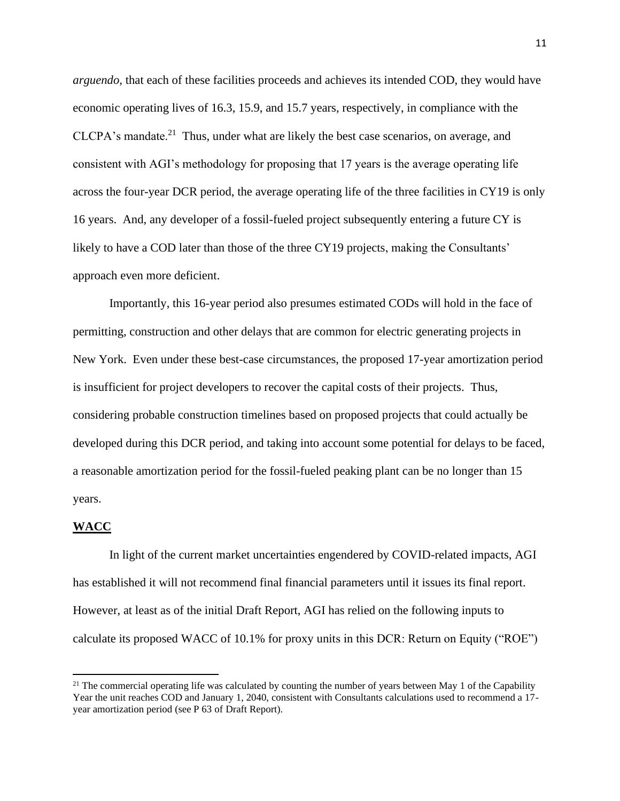*arguendo,* that each of these facilities proceeds and achieves its intended COD, they would have economic operating lives of 16.3, 15.9, and 15.7 years, respectively, in compliance with the  $CLCPA's$  mandate.<sup>21</sup> Thus, under what are likely the best case scenarios, on average, and consistent with AGI's methodology for proposing that 17 years is the average operating life across the four-year DCR period, the average operating life of the three facilities in CY19 is only 16 years. And, any developer of a fossil-fueled project subsequently entering a future CY is likely to have a COD later than those of the three CY19 projects, making the Consultants' approach even more deficient.

Importantly, this 16-year period also presumes estimated CODs will hold in the face of permitting, construction and other delays that are common for electric generating projects in New York. Even under these best-case circumstances, the proposed 17-year amortization period is insufficient for project developers to recover the capital costs of their projects. Thus, considering probable construction timelines based on proposed projects that could actually be developed during this DCR period, and taking into account some potential for delays to be faced, a reasonable amortization period for the fossil-fueled peaking plant can be no longer than 15 years.

#### **WACC**

In light of the current market uncertainties engendered by COVID-related impacts, AGI has established it will not recommend final financial parameters until it issues its final report. However, at least as of the initial Draft Report, AGI has relied on the following inputs to calculate its proposed WACC of 10.1% for proxy units in this DCR: Return on Equity ("ROE")

<sup>&</sup>lt;sup>21</sup> The commercial operating life was calculated by counting the number of years between May 1 of the Capability Year the unit reaches COD and January 1, 2040, consistent with Consultants calculations used to recommend a 17 year amortization period (see P 63 of Draft Report).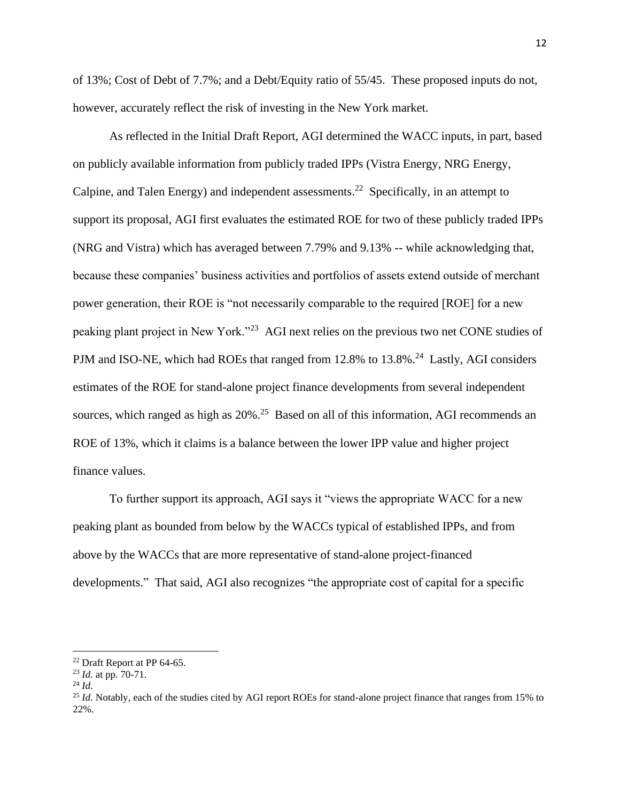of 13%; Cost of Debt of 7.7%; and a Debt/Equity ratio of 55/45. These proposed inputs do not, however, accurately reflect the risk of investing in the New York market.

As reflected in the Initial Draft Report, AGI determined the WACC inputs, in part, based on publicly available information from publicly traded IPPs (Vistra Energy, NRG Energy, Calpine, and Talen Energy) and independent assessments.<sup>22</sup> Specifically, in an attempt to support its proposal, AGI first evaluates the estimated ROE for two of these publicly traded IPPs (NRG and Vistra) which has averaged between 7.79% and 9.13% -- while acknowledging that, because these companies' business activities and portfolios of assets extend outside of merchant power generation, their ROE is "not necessarily comparable to the required [ROE] for a new peaking plant project in New York."<sup>23</sup> AGI next relies on the previous two net CONE studies of PJM and ISO-NE, which had ROEs that ranged from 12.8% to 13.8%.<sup>24</sup> Lastly, AGI considers estimates of the ROE for stand-alone project finance developments from several independent sources, which ranged as high as 20%<sup>25</sup> Based on all of this information, AGI recommends an ROE of 13%, which it claims is a balance between the lower IPP value and higher project finance values.

To further support its approach, AGI says it "views the appropriate WACC for a new peaking plant as bounded from below by the WACCs typical of established IPPs, and from above by the WACCs that are more representative of stand-alone project-financed developments." That said, AGI also recognizes "the appropriate cost of capital for a specific

<sup>22</sup> Draft Report at PP 64-65.

<sup>23</sup> *Id.* at pp. 70-71.

<sup>24</sup> *Id.*

<sup>&</sup>lt;sup>25</sup> *Id.* Notably, each of the studies cited by AGI report ROEs for stand-alone project finance that ranges from 15% to 22%.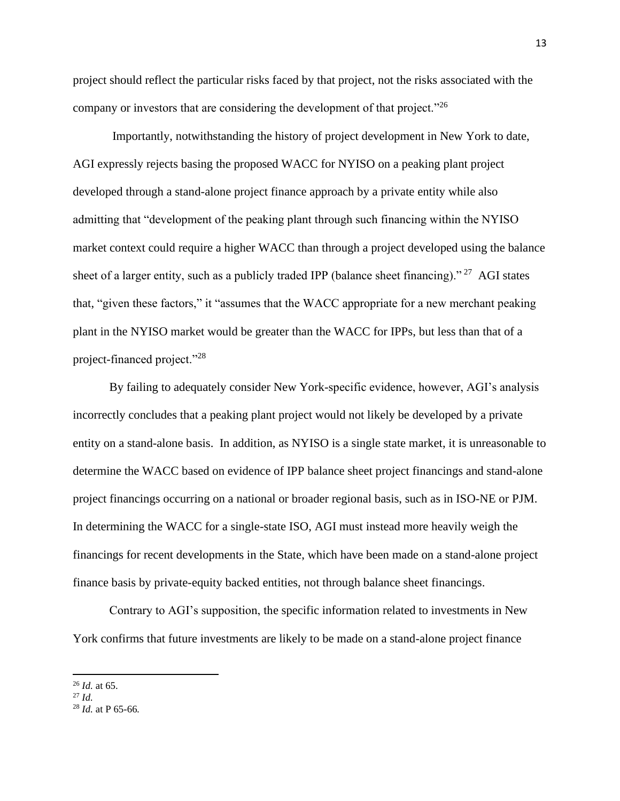project should reflect the particular risks faced by that project, not the risks associated with the company or investors that are considering the development of that project."<sup>26</sup>

Importantly, notwithstanding the history of project development in New York to date, AGI expressly rejects basing the proposed WACC for NYISO on a peaking plant project developed through a stand-alone project finance approach by a private entity while also admitting that "development of the peaking plant through such financing within the NYISO market context could require a higher WACC than through a project developed using the balance sheet of a larger entity, such as a publicly traded IPP (balance sheet financing)."<sup>27</sup> AGI states that, "given these factors," it "assumes that the WACC appropriate for a new merchant peaking plant in the NYISO market would be greater than the WACC for IPPs, but less than that of a project-financed project."<sup>28</sup>

By failing to adequately consider New York-specific evidence, however, AGI's analysis incorrectly concludes that a peaking plant project would not likely be developed by a private entity on a stand-alone basis. In addition, as NYISO is a single state market, it is unreasonable to determine the WACC based on evidence of IPP balance sheet project financings and stand-alone project financings occurring on a national or broader regional basis, such as in ISO-NE or PJM. In determining the WACC for a single-state ISO, AGI must instead more heavily weigh the financings for recent developments in the State, which have been made on a stand-alone project finance basis by private-equity backed entities, not through balance sheet financings.

Contrary to AGI's supposition, the specific information related to investments in New York confirms that future investments are likely to be made on a stand-alone project finance

<sup>26</sup> *Id.* at 65.

<sup>27</sup> *Id.*

<sup>28</sup> *Id.* at P 65-66*.*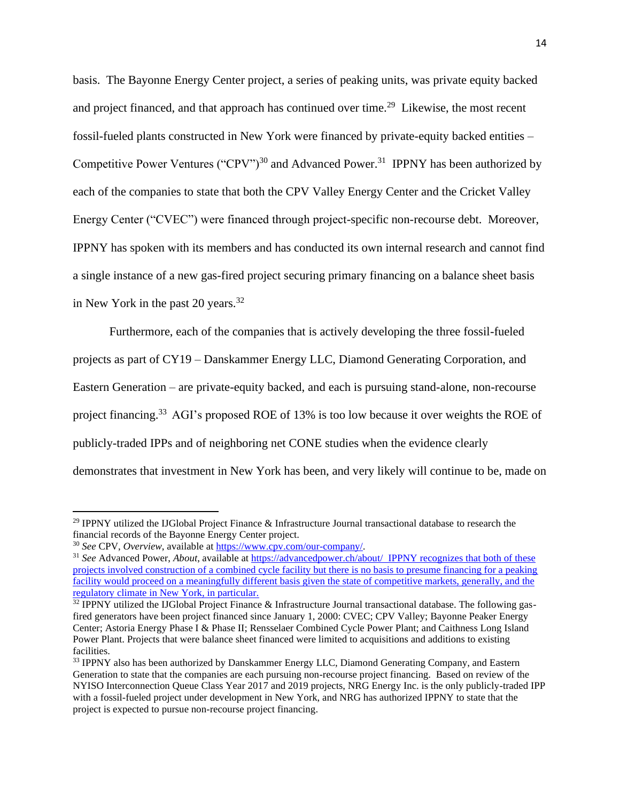basis. The Bayonne Energy Center project, a series of peaking units, was private equity backed and project financed, and that approach has continued over time.<sup>29</sup> Likewise, the most recent fossil-fueled plants constructed in New York were financed by private-equity backed entities – Competitive Power Ventures ("CPV")<sup>30</sup> and Advanced Power.<sup>31</sup> IPPNY has been authorized by each of the companies to state that both the CPV Valley Energy Center and the Cricket Valley Energy Center ("CVEC") were financed through project-specific non-recourse debt. Moreover, IPPNY has spoken with its members and has conducted its own internal research and cannot find a single instance of a new gas-fired project securing primary financing on a balance sheet basis in New York in the past 20 years. $32$ 

Furthermore, each of the companies that is actively developing the three fossil-fueled projects as part of CY19 – Danskammer Energy LLC, Diamond Generating Corporation, and Eastern Generation – are private-equity backed, and each is pursuing stand-alone, non-recourse project financing.<sup>33</sup> AGI's proposed ROE of 13% is too low because it over weights the ROE of publicly-traded IPPs and of neighboring net CONE studies when the evidence clearly demonstrates that investment in New York has been, and very likely will continue to be, made on

<sup>&</sup>lt;sup>29</sup> IPPNY utilized the IJGlobal Project Finance & Infrastructure Journal transactional database to research the financial records of the Bayonne Energy Center project.

<sup>30</sup> *See* CPV, *Overview*, available at [https://www.cpv.com/our-company/.](https://www.cpv.com/our-company/)

<sup>&</sup>lt;sup>31</sup> See Advanced Power, *About*, available at<https://advancedpower.ch/about/>IPPNY recognizes that both of these projects involved construction of a combined cycle facility but there is no basis to presume financing for a peaking facility would proceed on a meaningfully different basis given the state of competitive markets, generally, and the regulatory climate in New York, in particular.

 $32$  IPPNY utilized the IJGlobal Project Finance & Infrastructure Journal transactional database. The following gasfired generators have been project financed since January 1, 2000: CVEC; CPV Valley; Bayonne Peaker Energy Center; Astoria Energy Phase I & Phase II; Rensselaer Combined Cycle Power Plant; and Caithness Long Island Power Plant. Projects that were balance sheet financed were limited to acquisitions and additions to existing facilities.

<sup>&</sup>lt;sup>33</sup> IPPNY also has been authorized by Danskammer Energy LLC, Diamond Generating Company, and Eastern Generation to state that the companies are each pursuing non-recourse project financing. Based on review of the NYISO Interconnection Queue Class Year 2017 and 2019 projects, NRG Energy Inc. is the only publicly-traded IPP with a fossil-fueled project under development in New York, and NRG has authorized IPPNY to state that the project is expected to pursue non-recourse project financing.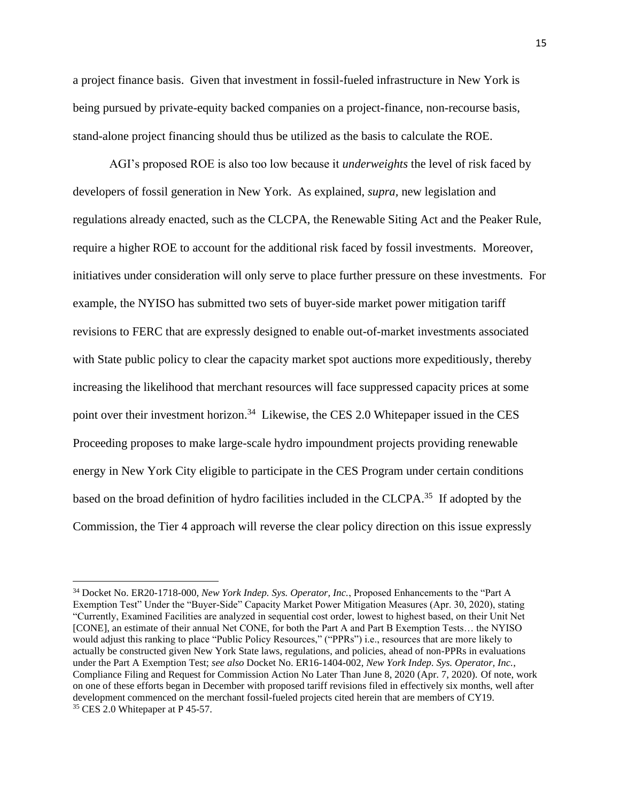a project finance basis. Given that investment in fossil-fueled infrastructure in New York is being pursued by private-equity backed companies on a project-finance, non-recourse basis, stand-alone project financing should thus be utilized as the basis to calculate the ROE.

AGI's proposed ROE is also too low because it *underweights* the level of risk faced by developers of fossil generation in New York. As explained, *supra,* new legislation and regulations already enacted, such as the CLCPA, the Renewable Siting Act and the Peaker Rule, require a higher ROE to account for the additional risk faced by fossil investments. Moreover, initiatives under consideration will only serve to place further pressure on these investments. For example, the NYISO has submitted two sets of buyer-side market power mitigation tariff revisions to FERC that are expressly designed to enable out-of-market investments associated with State public policy to clear the capacity market spot auctions more expeditiously, thereby increasing the likelihood that merchant resources will face suppressed capacity prices at some point over their investment horizon.<sup>34</sup> Likewise, the CES 2.0 Whitepaper issued in the CES Proceeding proposes to make large-scale hydro impoundment projects providing renewable energy in New York City eligible to participate in the CES Program under certain conditions based on the broad definition of hydro facilities included in the CLCPA.<sup>35</sup> If adopted by the Commission, the Tier 4 approach will reverse the clear policy direction on this issue expressly

<sup>34</sup> Docket No. ER20-1718-000, *New York Indep. Sys. Operator, Inc.*, Proposed Enhancements to the "Part A Exemption Test" Under the "Buyer-Side" Capacity Market Power Mitigation Measures (Apr. 30, 2020), stating "Currently, Examined Facilities are analyzed in sequential cost order, lowest to highest based, on their Unit Net [CONE], an estimate of their annual Net CONE, for both the Part A and Part B Exemption Tests… the NYISO would adjust this ranking to place "Public Policy Resources," ("PPRs") i.e., resources that are more likely to actually be constructed given New York State laws, regulations, and policies, ahead of non-PPRs in evaluations under the Part A Exemption Test; *see also* Docket No. ER16-1404-002, *New York Indep. Sys. Operator, Inc.*, Compliance Filing and Request for Commission Action No Later Than June 8, 2020 (Apr. 7, 2020). Of note, work on one of these efforts began in December with proposed tariff revisions filed in effectively six months, well after development commenced on the merchant fossil-fueled projects cited herein that are members of CY19. <sup>35</sup> CES 2.0 Whitepaper at P 45-57.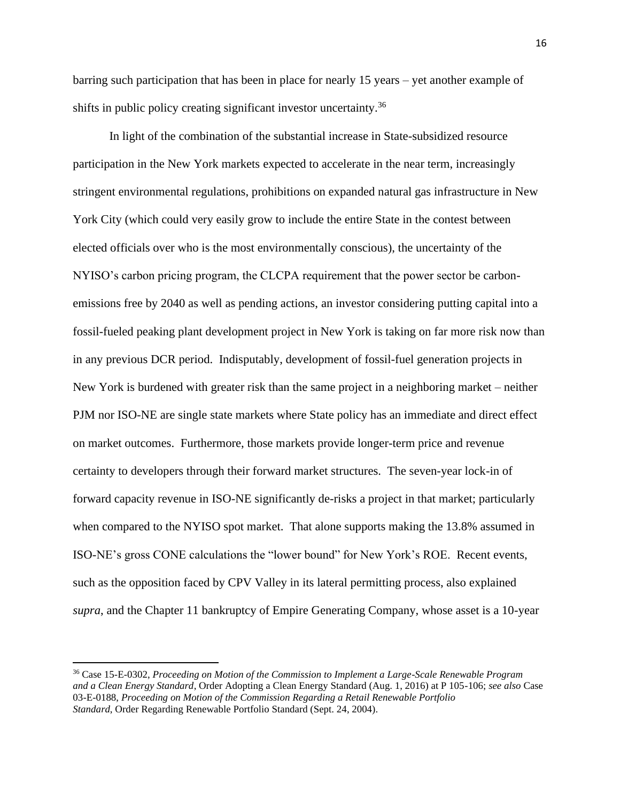barring such participation that has been in place for nearly 15 years – yet another example of shifts in public policy creating significant investor uncertainty.<sup>36</sup>

In light of the combination of the substantial increase in State-subsidized resource participation in the New York markets expected to accelerate in the near term, increasingly stringent environmental regulations, prohibitions on expanded natural gas infrastructure in New York City (which could very easily grow to include the entire State in the contest between elected officials over who is the most environmentally conscious), the uncertainty of the NYISO's carbon pricing program, the CLCPA requirement that the power sector be carbonemissions free by 2040 as well as pending actions, an investor considering putting capital into a fossil-fueled peaking plant development project in New York is taking on far more risk now than in any previous DCR period. Indisputably, development of fossil-fuel generation projects in New York is burdened with greater risk than the same project in a neighboring market – neither PJM nor ISO-NE are single state markets where State policy has an immediate and direct effect on market outcomes. Furthermore, those markets provide longer-term price and revenue certainty to developers through their forward market structures. The seven-year lock-in of forward capacity revenue in ISO-NE significantly de-risks a project in that market; particularly when compared to the NYISO spot market. That alone supports making the 13.8% assumed in ISO-NE's gross CONE calculations the "lower bound" for New York's ROE. Recent events, such as the opposition faced by CPV Valley in its lateral permitting process, also explained *supra*, and the Chapter 11 bankruptcy of Empire Generating Company, whose asset is a 10-year

<sup>36</sup> Case 15-E-0302, *Proceeding on Motion of the Commission to Implement a Large-Scale Renewable Program and a Clean Energy Standard*, Order Adopting a Clean Energy Standard (Aug. 1, 2016) at P 105-106; *see also* Case 03-E-0188, *Proceeding on Motion of the Commission Regarding a Retail Renewable Portfolio Standard*, Order Regarding Renewable Portfolio Standard (Sept. 24, 2004).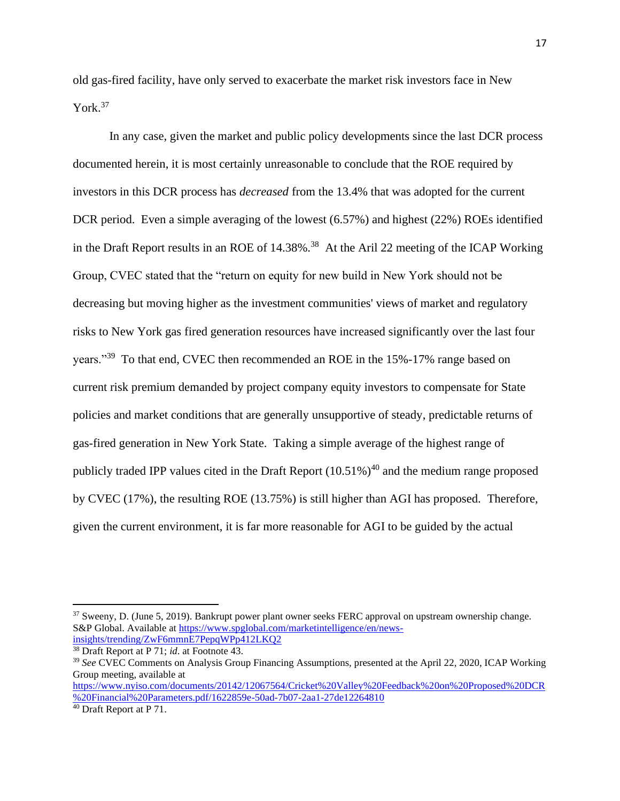old gas-fired facility, have only served to exacerbate the market risk investors face in New York.<sup>37</sup>

In any case, given the market and public policy developments since the last DCR process documented herein, it is most certainly unreasonable to conclude that the ROE required by investors in this DCR process has *decreased* from the 13.4% that was adopted for the current DCR period. Even a simple averaging of the lowest (6.57%) and highest (22%) ROEs identified in the Draft Report results in an ROE of 14.38%.<sup>38</sup> At the Aril 22 meeting of the ICAP Working Group, CVEC stated that the "return on equity for new build in New York should not be decreasing but moving higher as the investment communities' views of market and regulatory risks to New York gas fired generation resources have increased significantly over the last four years."<sup>39</sup> To that end, CVEC then recommended an ROE in the 15%-17% range based on current risk premium demanded by project company equity investors to compensate for State policies and market conditions that are generally unsupportive of steady, predictable returns of gas-fired generation in New York State. Taking a simple average of the highest range of publicly traded IPP values cited in the Draft Report  $(10.51\%)$ <sup>40</sup> and the medium range proposed by CVEC (17%), the resulting ROE (13.75%) is still higher than AGI has proposed. Therefore, given the current environment, it is far more reasonable for AGI to be guided by the actual

<sup>&</sup>lt;sup>37</sup> Sweeny, D. (June 5, 2019). Bankrupt power plant owner seeks FERC approval on upstream ownership change. S&P Global. Available a[t https://www.spglobal.com/marketintelligence/en/news](https://www.spglobal.com/marketintelligence/en/news-insights/trending/ZwF6mmnE7PepqWPp412LKQ2)[insights/trending/ZwF6mmnE7PepqWPp412LKQ2](https://www.spglobal.com/marketintelligence/en/news-insights/trending/ZwF6mmnE7PepqWPp412LKQ2)

<sup>38</sup> Draft Report at P 71; *id*. at Footnote 43.

<sup>&</sup>lt;sup>39</sup> See CVEC Comments on Analysis Group Financing Assumptions, presented at the April 22, 2020, ICAP Working Group meeting, available at

[https://www.nyiso.com/documents/20142/12067564/Cricket%20Valley%20Feedback%20on%20Proposed%20DCR](https://www.nyiso.com/documents/20142/12067564/Cricket%20Valley%20Feedback%20on%20Proposed%20DCR%20Financial%20Parameters.pdf/1622859e-50ad-7b07-2aa1-27de12264810) [%20Financial%20Parameters.pdf/1622859e-50ad-7b07-2aa1-27de12264810](https://www.nyiso.com/documents/20142/12067564/Cricket%20Valley%20Feedback%20on%20Proposed%20DCR%20Financial%20Parameters.pdf/1622859e-50ad-7b07-2aa1-27de12264810)

<sup>&</sup>lt;sup>40</sup> Draft Report at P 71.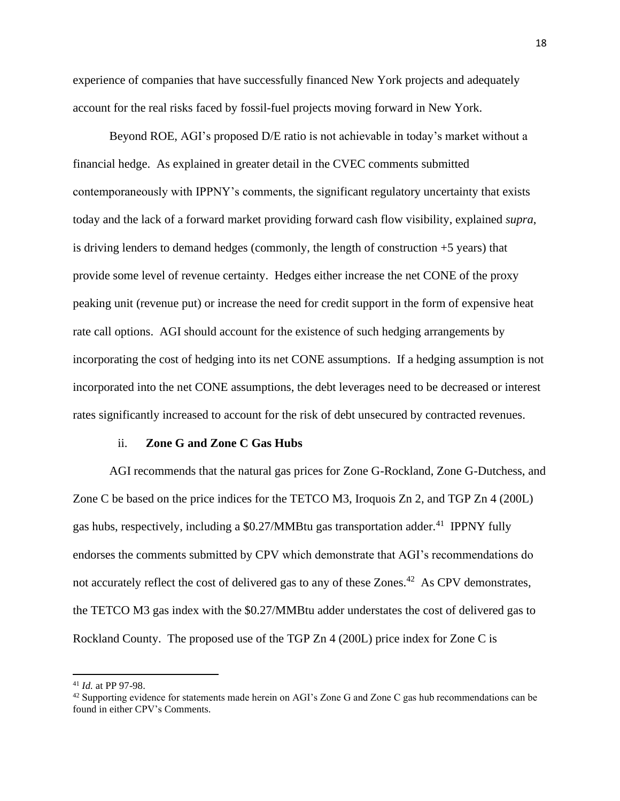experience of companies that have successfully financed New York projects and adequately account for the real risks faced by fossil-fuel projects moving forward in New York.

Beyond ROE, AGI's proposed D/E ratio is not achievable in today's market without a financial hedge. As explained in greater detail in the CVEC comments submitted contemporaneously with IPPNY's comments, the significant regulatory uncertainty that exists today and the lack of a forward market providing forward cash flow visibility, explained *supra*, is driving lenders to demand hedges (commonly, the length of construction  $+5$  years) that provide some level of revenue certainty. Hedges either increase the net CONE of the proxy peaking unit (revenue put) or increase the need for credit support in the form of expensive heat rate call options. AGI should account for the existence of such hedging arrangements by incorporating the cost of hedging into its net CONE assumptions. If a hedging assumption is not incorporated into the net CONE assumptions, the debt leverages need to be decreased or interest rates significantly increased to account for the risk of debt unsecured by contracted revenues.

#### ii. **Zone G and Zone C Gas Hubs**

AGI recommends that the natural gas prices for Zone G-Rockland, Zone G-Dutchess, and Zone C be based on the price indices for the TETCO M3, Iroquois Zn 2, and TGP Zn 4 (200L) gas hubs, respectively, including a  $$0.27/MMB$ tu gas transportation adder.<sup>41</sup> IPPNY fully endorses the comments submitted by CPV which demonstrate that AGI's recommendations do not accurately reflect the cost of delivered gas to any of these Zones.<sup>42</sup> As CPV demonstrates, the TETCO M3 gas index with the \$0.27/MMBtu adder understates the cost of delivered gas to Rockland County. The proposed use of the TGP Zn 4 (200L) price index for Zone C is

<sup>41</sup> *Id.* at PP 97-98.

 $42$  Supporting evidence for statements made herein on AGI's Zone G and Zone C gas hub recommendations can be found in either CPV's Comments.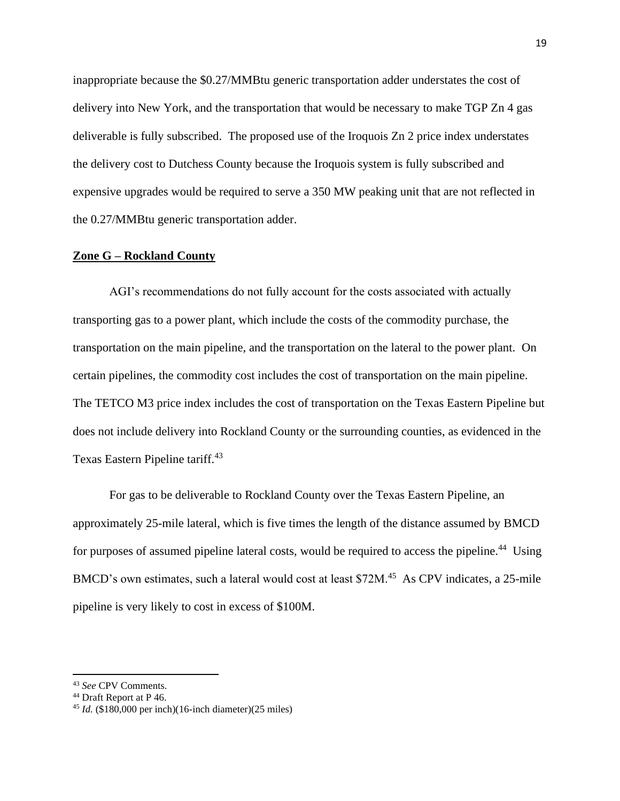inappropriate because the \$0.27/MMBtu generic transportation adder understates the cost of delivery into New York, and the transportation that would be necessary to make TGP Zn 4 gas deliverable is fully subscribed. The proposed use of the Iroquois Zn 2 price index understates the delivery cost to Dutchess County because the Iroquois system is fully subscribed and expensive upgrades would be required to serve a 350 MW peaking unit that are not reflected in the 0.27/MMBtu generic transportation adder.

## **Zone G – Rockland County**

AGI's recommendations do not fully account for the costs associated with actually transporting gas to a power plant, which include the costs of the commodity purchase, the transportation on the main pipeline, and the transportation on the lateral to the power plant. On certain pipelines, the commodity cost includes the cost of transportation on the main pipeline. The TETCO M3 price index includes the cost of transportation on the Texas Eastern Pipeline but does not include delivery into Rockland County or the surrounding counties, as evidenced in the Texas Eastern Pipeline tariff.<sup>43</sup>

For gas to be deliverable to Rockland County over the Texas Eastern Pipeline, an approximately 25-mile lateral, which is five times the length of the distance assumed by BMCD for purposes of assumed pipeline lateral costs, would be required to access the pipeline.<sup>44</sup> Using BMCD's own estimates, such a lateral would cost at least \$72M.<sup>45</sup> As CPV indicates, a 25-mile pipeline is very likely to cost in excess of \$100M.

<sup>43</sup> *See* CPV Comments.

<sup>44</sup> Draft Report at P 46.

<sup>45</sup> *Id.* (\$180,000 per inch)(16-inch diameter)(25 miles)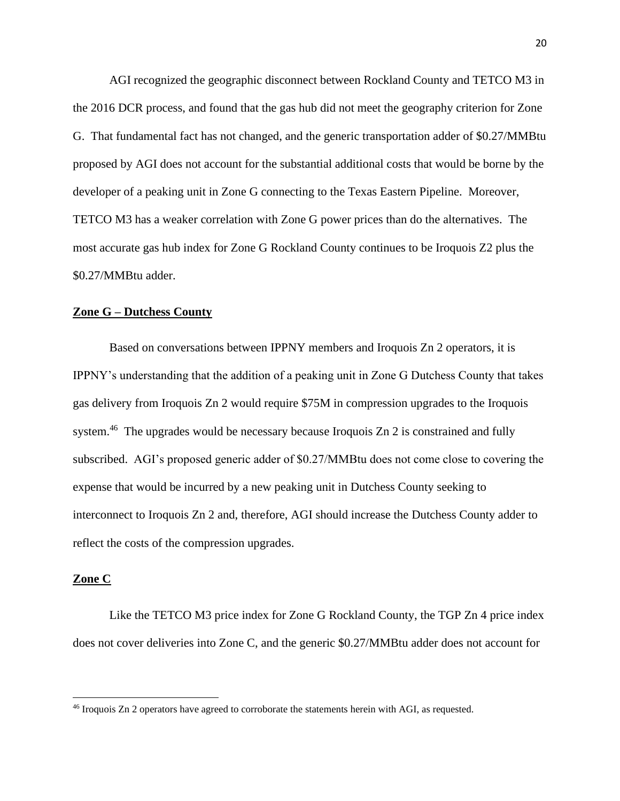AGI recognized the geographic disconnect between Rockland County and TETCO M3 in the 2016 DCR process, and found that the gas hub did not meet the geography criterion for Zone G. That fundamental fact has not changed, and the generic transportation adder of \$0.27/MMBtu proposed by AGI does not account for the substantial additional costs that would be borne by the developer of a peaking unit in Zone G connecting to the Texas Eastern Pipeline. Moreover, TETCO M3 has a weaker correlation with Zone G power prices than do the alternatives. The most accurate gas hub index for Zone G Rockland County continues to be Iroquois Z2 plus the \$0.27/MMBtu adder.

## **Zone G – Dutchess County**

Based on conversations between IPPNY members and Iroquois Zn 2 operators, it is IPPNY's understanding that the addition of a peaking unit in Zone G Dutchess County that takes gas delivery from Iroquois Zn 2 would require \$75M in compression upgrades to the Iroquois system.<sup>46</sup> The upgrades would be necessary because Iroquois Zn 2 is constrained and fully subscribed. AGI's proposed generic adder of \$0.27/MMBtu does not come close to covering the expense that would be incurred by a new peaking unit in Dutchess County seeking to interconnect to Iroquois Zn 2 and, therefore, AGI should increase the Dutchess County adder to reflect the costs of the compression upgrades.

## **Zone C**

Like the TETCO M3 price index for Zone G Rockland County, the TGP Zn 4 price index does not cover deliveries into Zone C, and the generic \$0.27/MMBtu adder does not account for

<sup>46</sup> Iroquois Zn 2 operators have agreed to corroborate the statements herein with AGI, as requested.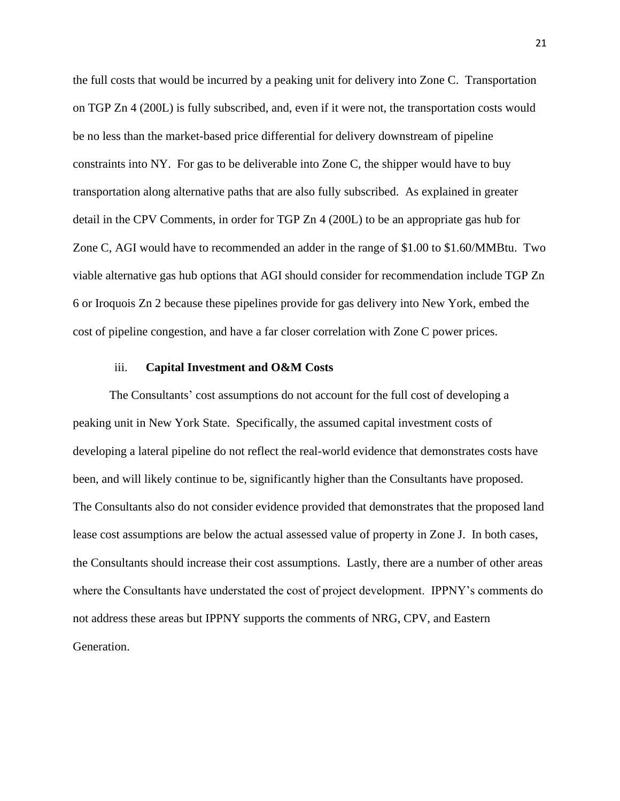the full costs that would be incurred by a peaking unit for delivery into Zone C. Transportation on TGP Zn 4 (200L) is fully subscribed, and, even if it were not, the transportation costs would be no less than the market-based price differential for delivery downstream of pipeline constraints into NY. For gas to be deliverable into Zone C, the shipper would have to buy transportation along alternative paths that are also fully subscribed. As explained in greater detail in the CPV Comments, in order for TGP Zn 4 (200L) to be an appropriate gas hub for Zone C, AGI would have to recommended an adder in the range of \$1.00 to \$1.60/MMBtu. Two viable alternative gas hub options that AGI should consider for recommendation include TGP Zn 6 or Iroquois Zn 2 because these pipelines provide for gas delivery into New York, embed the cost of pipeline congestion, and have a far closer correlation with Zone C power prices.

#### iii. **Capital Investment and O&M Costs**

The Consultants' cost assumptions do not account for the full cost of developing a peaking unit in New York State. Specifically, the assumed capital investment costs of developing a lateral pipeline do not reflect the real-world evidence that demonstrates costs have been, and will likely continue to be, significantly higher than the Consultants have proposed. The Consultants also do not consider evidence provided that demonstrates that the proposed land lease cost assumptions are below the actual assessed value of property in Zone J. In both cases, the Consultants should increase their cost assumptions. Lastly, there are a number of other areas where the Consultants have understated the cost of project development. IPPNY's comments do not address these areas but IPPNY supports the comments of NRG, CPV, and Eastern Generation.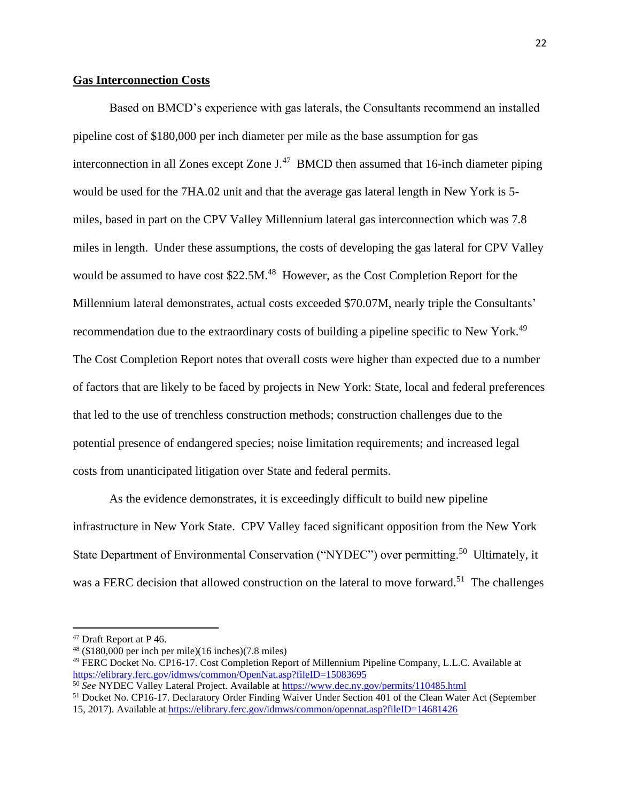## **Gas Interconnection Costs**

Based on BMCD's experience with gas laterals, the Consultants recommend an installed pipeline cost of \$180,000 per inch diameter per mile as the base assumption for gas interconnection in all Zones except Zone  $J<sup>47</sup>$  BMCD then assumed that 16-inch diameter piping would be used for the 7HA.02 unit and that the average gas lateral length in New York is 5 miles, based in part on the CPV Valley Millennium lateral gas interconnection which was 7.8 miles in length. Under these assumptions, the costs of developing the gas lateral for CPV Valley would be assumed to have cost \$22.5M.<sup>48</sup> However, as the Cost Completion Report for the Millennium lateral demonstrates, actual costs exceeded \$70.07M, nearly triple the Consultants' recommendation due to the extraordinary costs of building a pipeline specific to New York.<sup>49</sup> The Cost Completion Report notes that overall costs were higher than expected due to a number of factors that are likely to be faced by projects in New York: State, local and federal preferences that led to the use of trenchless construction methods; construction challenges due to the potential presence of endangered species; noise limitation requirements; and increased legal costs from unanticipated litigation over State and federal permits.

As the evidence demonstrates, it is exceedingly difficult to build new pipeline infrastructure in New York State. CPV Valley faced significant opposition from the New York State Department of Environmental Conservation ("NYDEC") over permitting.<sup>50</sup> Ultimately, it was a FERC decision that allowed construction on the lateral to move forward.<sup>51</sup> The challenges

<sup>&</sup>lt;sup>47</sup> Draft Report at P 46.

 $48$  (\$180,000 per inch per mile)(16 inches)(7.8 miles)

<sup>49</sup> FERC Docket No. CP16-17. Cost Completion Report of Millennium Pipeline Company, L.L.C. Available at <https://elibrary.ferc.gov/idmws/common/OpenNat.asp?fileID=15083695>

<sup>50</sup> *See* NYDEC Valley Lateral Project. Available a[t https://www.dec.ny.gov/permits/110485.html](https://www.dec.ny.gov/permits/110485.html)

<sup>51</sup> Docket No. CP16-17. Declaratory Order Finding Waiver Under Section 401 of the Clean Water Act (September 15, 2017). Available at<https://elibrary.ferc.gov/idmws/common/opennat.asp?fileID=14681426>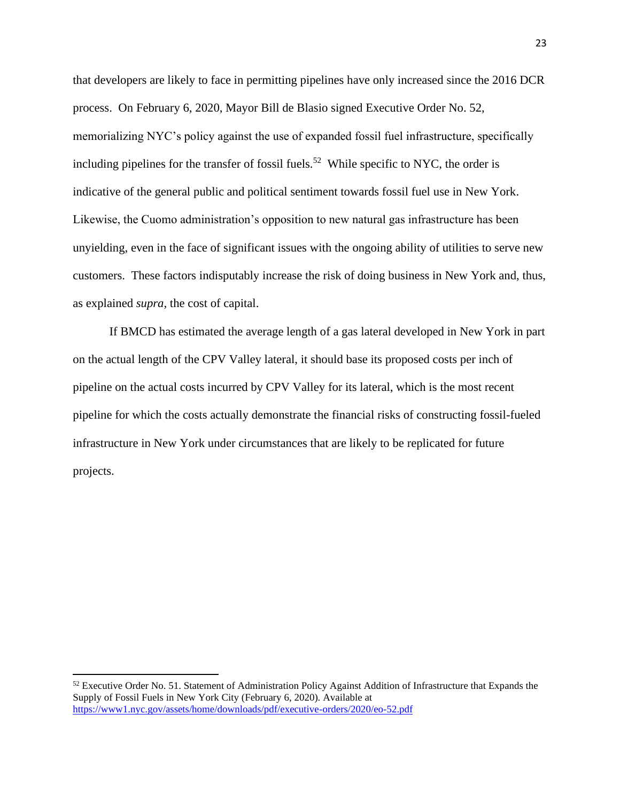that developers are likely to face in permitting pipelines have only increased since the 2016 DCR process. On February 6, 2020, Mayor Bill de Blasio signed Executive Order No. 52, memorializing NYC's policy against the use of expanded fossil fuel infrastructure, specifically including pipelines for the transfer of fossil fuels.<sup>52</sup> While specific to NYC, the order is indicative of the general public and political sentiment towards fossil fuel use in New York. Likewise, the Cuomo administration's opposition to new natural gas infrastructure has been unyielding, even in the face of significant issues with the ongoing ability of utilities to serve new customers. These factors indisputably increase the risk of doing business in New York and, thus, as explained *supra,* the cost of capital.

If BMCD has estimated the average length of a gas lateral developed in New York in part on the actual length of the CPV Valley lateral, it should base its proposed costs per inch of pipeline on the actual costs incurred by CPV Valley for its lateral, which is the most recent pipeline for which the costs actually demonstrate the financial risks of constructing fossil-fueled infrastructure in New York under circumstances that are likely to be replicated for future projects.

 $52$  Executive Order No. 51. Statement of Administration Policy Against Addition of Infrastructure that Expands the Supply of Fossil Fuels in New York City (February 6, 2020). Available at <https://www1.nyc.gov/assets/home/downloads/pdf/executive-orders/2020/eo-52.pdf>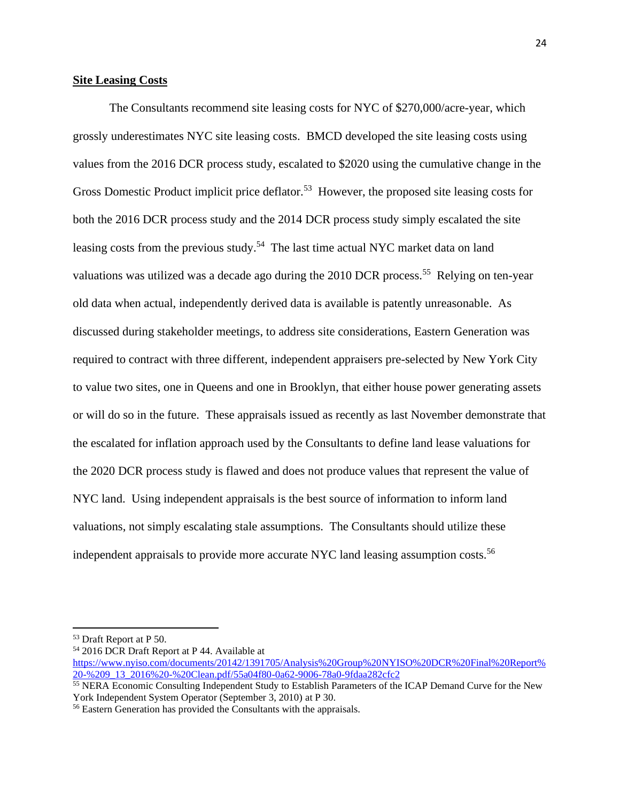## **Site Leasing Costs**

The Consultants recommend site leasing costs for NYC of \$270,000/acre-year, which grossly underestimates NYC site leasing costs. BMCD developed the site leasing costs using values from the 2016 DCR process study, escalated to \$2020 using the cumulative change in the Gross Domestic Product implicit price deflator.<sup>53</sup> However, the proposed site leasing costs for both the 2016 DCR process study and the 2014 DCR process study simply escalated the site leasing costs from the previous study.<sup>54</sup> The last time actual NYC market data on land valuations was utilized was a decade ago during the 2010 DCR process.<sup>55</sup> Relying on ten-year old data when actual, independently derived data is available is patently unreasonable. As discussed during stakeholder meetings, to address site considerations, Eastern Generation was required to contract with three different, independent appraisers pre-selected by New York City to value two sites, one in Queens and one in Brooklyn, that either house power generating assets or will do so in the future. These appraisals issued as recently as last November demonstrate that the escalated for inflation approach used by the Consultants to define land lease valuations for the 2020 DCR process study is flawed and does not produce values that represent the value of NYC land. Using independent appraisals is the best source of information to inform land valuations, not simply escalating stale assumptions. The Consultants should utilize these independent appraisals to provide more accurate NYC land leasing assumption costs.<sup>56</sup>

<sup>53</sup> Draft Report at P 50.

<sup>54</sup> 2016 DCR Draft Report at P 44. Available at

[https://www.nyiso.com/documents/20142/1391705/Analysis%20Group%20NYISO%20DCR%20Final%20Report%](https://www.nyiso.com/documents/20142/1391705/Analysis%20Group%20NYISO%20DCR%20Final%20Report%20-%209_13_2016%20-%20Clean.pdf/55a04f80-0a62-9006-78a0-9fdaa282cfc2) [20-%209\\_13\\_2016%20-%20Clean.pdf/55a04f80-0a62-9006-78a0-9fdaa282cfc2](https://www.nyiso.com/documents/20142/1391705/Analysis%20Group%20NYISO%20DCR%20Final%20Report%20-%209_13_2016%20-%20Clean.pdf/55a04f80-0a62-9006-78a0-9fdaa282cfc2)

<sup>&</sup>lt;sup>55</sup> NERA Economic Consulting Independent Study to Establish Parameters of the ICAP Demand Curve for the New York Independent System Operator (September 3, 2010) at P 30.

<sup>56</sup> Eastern Generation has provided the Consultants with the appraisals.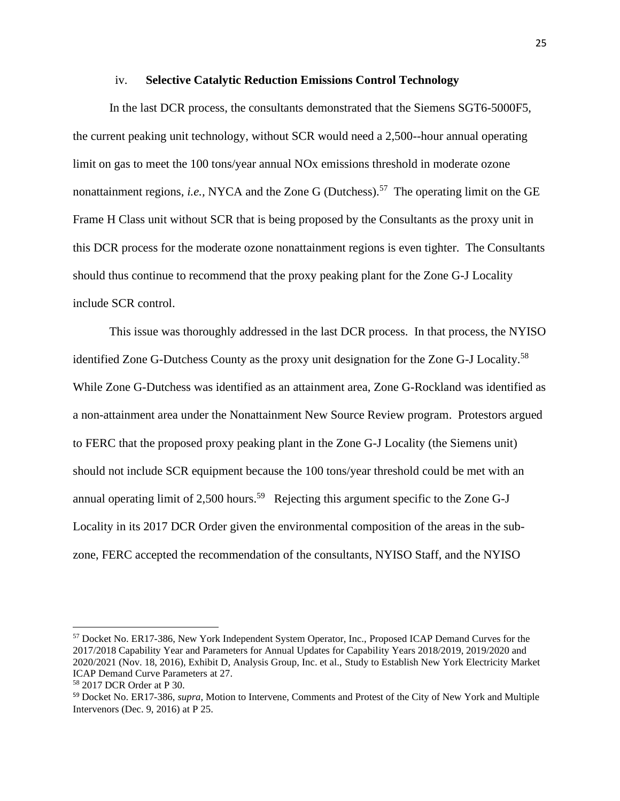#### iv. **Selective Catalytic Reduction Emissions Control Technology**

In the last DCR process, the consultants demonstrated that the Siemens SGT6-5000F5, the current peaking unit technology, without SCR would need a 2,500--hour annual operating limit on gas to meet the 100 tons/year annual NOx emissions threshold in moderate ozone nonattainment regions, *i.e.*, NYCA and the Zone G (Dutchess).<sup>57</sup> The operating limit on the GE Frame H Class unit without SCR that is being proposed by the Consultants as the proxy unit in this DCR process for the moderate ozone nonattainment regions is even tighter. The Consultants should thus continue to recommend that the proxy peaking plant for the Zone G-J Locality include SCR control.

This issue was thoroughly addressed in the last DCR process. In that process, the NYISO identified Zone G-Dutchess County as the proxy unit designation for the Zone G-J Locality.<sup>58</sup> While Zone G-Dutchess was identified as an attainment area, Zone G-Rockland was identified as a non-attainment area under the Nonattainment New Source Review program. Protestors argued to FERC that the proposed proxy peaking plant in the Zone G-J Locality (the Siemens unit) should not include SCR equipment because the 100 tons/year threshold could be met with an annual operating limit of 2,500 hours.<sup>59</sup> Rejecting this argument specific to the Zone G-J Locality in its 2017 DCR Order given the environmental composition of the areas in the subzone, FERC accepted the recommendation of the consultants, NYISO Staff, and the NYISO

<sup>57</sup> Docket No. ER17-386, New York Independent System Operator, Inc., Proposed ICAP Demand Curves for the 2017/2018 Capability Year and Parameters for Annual Updates for Capability Years 2018/2019, 2019/2020 and 2020/2021 (Nov. 18, 2016), Exhibit D, Analysis Group, Inc. et al., Study to Establish New York Electricity Market ICAP Demand Curve Parameters at 27.

<sup>58</sup> 2017 DCR Order at P 30.

<sup>59</sup> Docket No. ER17-386, *supra*, Motion to Intervene, Comments and Protest of the City of New York and Multiple Intervenors (Dec. 9, 2016) at P 25.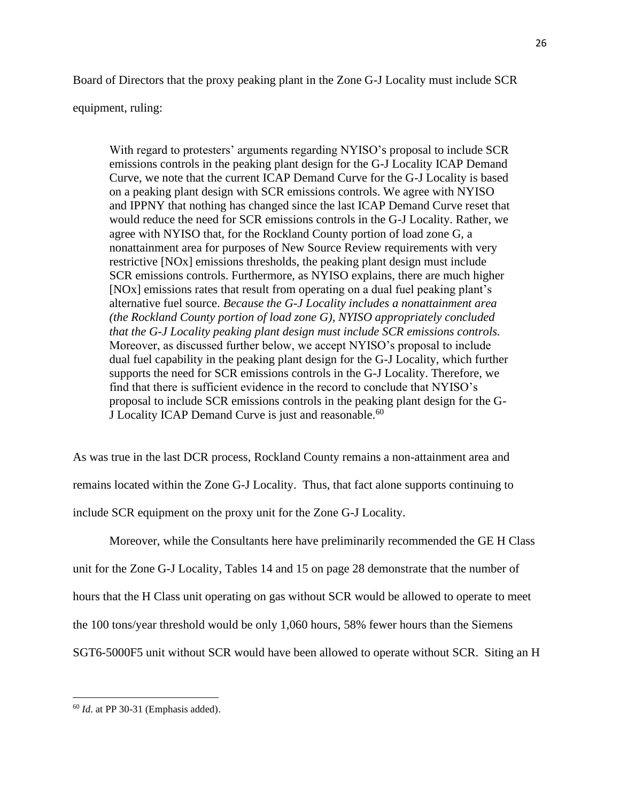Board of Directors that the proxy peaking plant in the Zone G-J Locality must include SCR

#### equipment, ruling:

With regard to protesters' arguments regarding NYISO's proposal to include SCR emissions controls in the peaking plant design for the G-J Locality ICAP Demand Curve, we note that the current ICAP Demand Curve for the G-J Locality is based on a peaking plant design with SCR emissions controls. We agree with NYISO and IPPNY that nothing has changed since the last ICAP Demand Curve reset that would reduce the need for SCR emissions controls in the G-J Locality. Rather, we agree with NYISO that, for the Rockland County portion of load zone G, a nonattainment area for purposes of New Source Review requirements with very restrictive [NOx] emissions thresholds, the peaking plant design must include SCR emissions controls. Furthermore, as NYISO explains, there are much higher [NOx] emissions rates that result from operating on a dual fuel peaking plant's alternative fuel source. *Because the G-J Locality includes a nonattainment area (the Rockland County portion of load zone G), NYISO appropriately concluded that the G-J Locality peaking plant design must include SCR emissions controls.* Moreover, as discussed further below, we accept NYISO's proposal to include dual fuel capability in the peaking plant design for the G-J Locality, which further supports the need for SCR emissions controls in the G-J Locality. Therefore, we find that there is sufficient evidence in the record to conclude that NYISO's proposal to include SCR emissions controls in the peaking plant design for the G-J Locality ICAP Demand Curve is just and reasonable.<sup>60</sup>

As was true in the last DCR process, Rockland County remains a non-attainment area and remains located within the Zone G-J Locality. Thus, that fact alone supports continuing to include SCR equipment on the proxy unit for the Zone G-J Locality.

Moreover, while the Consultants here have preliminarily recommended the GE H Class unit for the Zone G-J Locality, Tables 14 and 15 on page 28 demonstrate that the number of hours that the H Class unit operating on gas without SCR would be allowed to operate to meet the 100 tons/year threshold would be only 1,060 hours, 58% fewer hours than the Siemens SGT6-5000F5 unit without SCR would have been allowed to operate without SCR. Siting an H

<sup>60</sup> *Id*. at PP 30-31 (Emphasis added).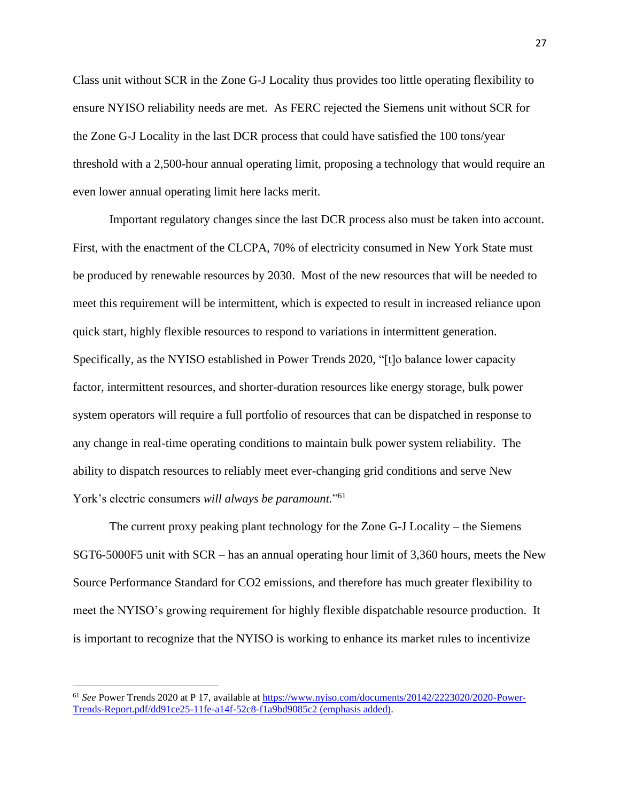Class unit without SCR in the Zone G-J Locality thus provides too little operating flexibility to ensure NYISO reliability needs are met. As FERC rejected the Siemens unit without SCR for the Zone G-J Locality in the last DCR process that could have satisfied the 100 tons/year threshold with a 2,500-hour annual operating limit, proposing a technology that would require an even lower annual operating limit here lacks merit.

Important regulatory changes since the last DCR process also must be taken into account. First, with the enactment of the CLCPA, 70% of electricity consumed in New York State must be produced by renewable resources by 2030. Most of the new resources that will be needed to meet this requirement will be intermittent, which is expected to result in increased reliance upon quick start, highly flexible resources to respond to variations in intermittent generation. Specifically, as the NYISO established in Power Trends 2020, "[t]o balance lower capacity factor, intermittent resources, and shorter-duration resources like energy storage, bulk power system operators will require a full portfolio of resources that can be dispatched in response to any change in real-time operating conditions to maintain bulk power system reliability. The ability to dispatch resources to reliably meet ever-changing grid conditions and serve New York's electric consumers *will always be paramount.*" 61

The current proxy peaking plant technology for the Zone G-J Locality – the Siemens SGT6-5000F5 unit with SCR – has an annual operating hour limit of 3,360 hours, meets the New Source Performance Standard for CO2 emissions, and therefore has much greater flexibility to meet the NYISO's growing requirement for highly flexible dispatchable resource production. It is important to recognize that the NYISO is working to enhance its market rules to incentivize

<sup>61</sup> *See* Power Trends 2020 at P 17, available at [https://www.nyiso.com/documents/20142/2223020/2020-Power-](https://www.nyiso.com/documents/20142/2223020/2020-Power-Trends-Report.pdf/dd91ce25-11fe-a14f-52c8-f1a9bd9085c2)[Trends-Report.pdf/dd91ce25-11fe-a14f-52c8-f1a9bd9085c2](https://www.nyiso.com/documents/20142/2223020/2020-Power-Trends-Report.pdf/dd91ce25-11fe-a14f-52c8-f1a9bd9085c2) (emphasis added).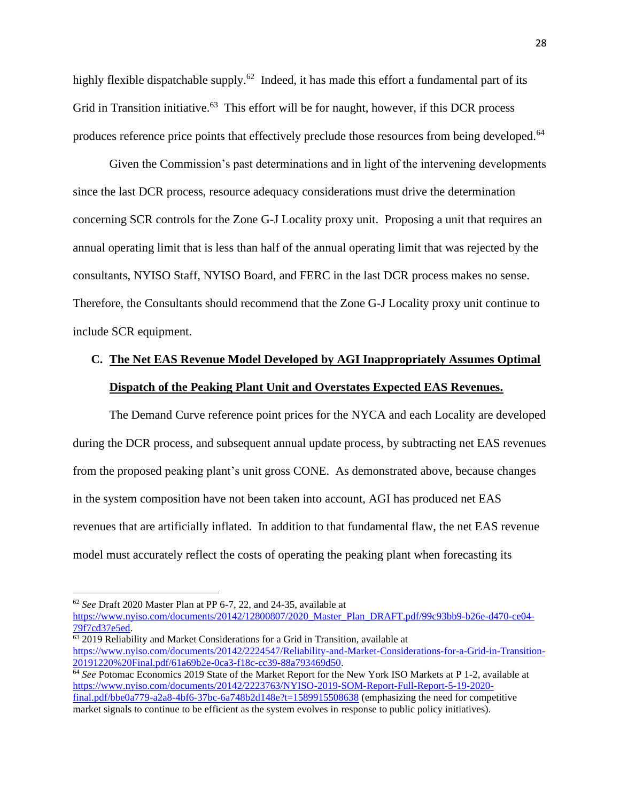highly flexible dispatchable supply.<sup>62</sup> Indeed, it has made this effort a fundamental part of its Grid in Transition initiative.<sup>63</sup> This effort will be for naught, however, if this DCR process produces reference price points that effectively preclude those resources from being developed.<sup>64</sup>

Given the Commission's past determinations and in light of the intervening developments since the last DCR process, resource adequacy considerations must drive the determination concerning SCR controls for the Zone G-J Locality proxy unit. Proposing a unit that requires an annual operating limit that is less than half of the annual operating limit that was rejected by the consultants, NYISO Staff, NYISO Board, and FERC in the last DCR process makes no sense. Therefore, the Consultants should recommend that the Zone G-J Locality proxy unit continue to include SCR equipment.

# **C. The Net EAS Revenue Model Developed by AGI Inappropriately Assumes Optimal Dispatch of the Peaking Plant Unit and Overstates Expected EAS Revenues.**

The Demand Curve reference point prices for the NYCA and each Locality are developed during the DCR process, and subsequent annual update process, by subtracting net EAS revenues from the proposed peaking plant's unit gross CONE. As demonstrated above, because changes in the system composition have not been taken into account, AGI has produced net EAS revenues that are artificially inflated. In addition to that fundamental flaw, the net EAS revenue model must accurately reflect the costs of operating the peaking plant when forecasting its

<sup>62</sup> *See* Draft 2020 Master Plan at PP 6-7, 22, and 24-35, available at

[https://www.nyiso.com/documents/20142/12800807/2020\\_Master\\_Plan\\_DRAFT.pdf/99c93bb9-b26e-d470-ce04-](https://www.nyiso.com/documents/20142/12800807/2020_Master_Plan_DRAFT.pdf/99c93bb9-b26e-d470-ce04-79f7cd37e5ed) [79f7cd37e5ed.](https://www.nyiso.com/documents/20142/12800807/2020_Master_Plan_DRAFT.pdf/99c93bb9-b26e-d470-ce04-79f7cd37e5ed)

<sup>63</sup> 2019 Reliability and Market Considerations for a Grid in Transition, available at [https://www.nyiso.com/documents/20142/2224547/Reliability-and-Market-Considerations-for-a-Grid-in-Transition-](https://www.nyiso.com/documents/20142/2224547/Reliability-and-Market-Considerations-for-a-Grid-in-Transition-20191220%20Final.pdf/61a69b2e-0ca3-f18c-cc39-88a793469d50)[20191220%20Final.pdf/61a69b2e-0ca3-f18c-cc39-88a793469d50.](https://www.nyiso.com/documents/20142/2224547/Reliability-and-Market-Considerations-for-a-Grid-in-Transition-20191220%20Final.pdf/61a69b2e-0ca3-f18c-cc39-88a793469d50)

<sup>&</sup>lt;sup>64</sup> See Potomac Economics 2019 State of the Market Report for the New York ISO Markets at P 1-2, available at [https://www.nyiso.com/documents/20142/2223763/NYISO-2019-SOM-Report-Full-Report-5-19-2020](https://www.nyiso.com/documents/20142/2223763/NYISO-2019-SOM-Report-Full-Report-5-19-2020-final.pdf/bbe0a779-a2a8-4bf6-37bc-6a748b2d148e?t=1589915508638) [final.pdf/bbe0a779-a2a8-4bf6-37bc-6a748b2d148e?t=1589915508638](https://www.nyiso.com/documents/20142/2223763/NYISO-2019-SOM-Report-Full-Report-5-19-2020-final.pdf/bbe0a779-a2a8-4bf6-37bc-6a748b2d148e?t=1589915508638) (emphasizing the need for competitive market signals to continue to be efficient as the system evolves in response to public policy initiatives).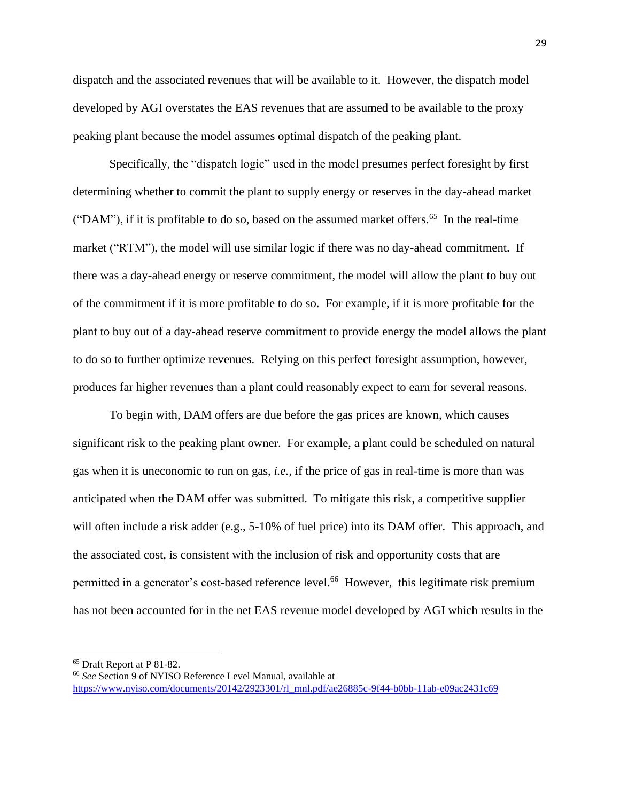dispatch and the associated revenues that will be available to it. However, the dispatch model developed by AGI overstates the EAS revenues that are assumed to be available to the proxy peaking plant because the model assumes optimal dispatch of the peaking plant.

Specifically, the "dispatch logic" used in the model presumes perfect foresight by first determining whether to commit the plant to supply energy or reserves in the day-ahead market ("DAM"), if it is profitable to do so, based on the assumed market offers.<sup>65</sup> In the real-time market ("RTM"), the model will use similar logic if there was no day-ahead commitment. If there was a day-ahead energy or reserve commitment, the model will allow the plant to buy out of the commitment if it is more profitable to do so. For example, if it is more profitable for the plant to buy out of a day-ahead reserve commitment to provide energy the model allows the plant to do so to further optimize revenues. Relying on this perfect foresight assumption, however, produces far higher revenues than a plant could reasonably expect to earn for several reasons.

To begin with, DAM offers are due before the gas prices are known, which causes significant risk to the peaking plant owner. For example, a plant could be scheduled on natural gas when it is uneconomic to run on gas, *i.e.,* if the price of gas in real-time is more than was anticipated when the DAM offer was submitted. To mitigate this risk, a competitive supplier will often include a risk adder (e.g., 5-10% of fuel price) into its DAM offer. This approach, and the associated cost, is consistent with the inclusion of risk and opportunity costs that are permitted in a generator's cost-based reference level.<sup>66</sup> However, this legitimate risk premium has not been accounted for in the net EAS revenue model developed by AGI which results in the

<sup>65</sup> Draft Report at P 81-82.

<sup>66</sup> *See* Section 9 of NYISO Reference Level Manual, available at [https://www.nyiso.com/documents/20142/2923301/rl\\_mnl.pdf/ae26885c-9f44-b0bb-11ab-e09ac2431c69](https://www.nyiso.com/documents/20142/2923301/rl_mnl.pdf/ae26885c-9f44-b0bb-11ab-e09ac2431c69)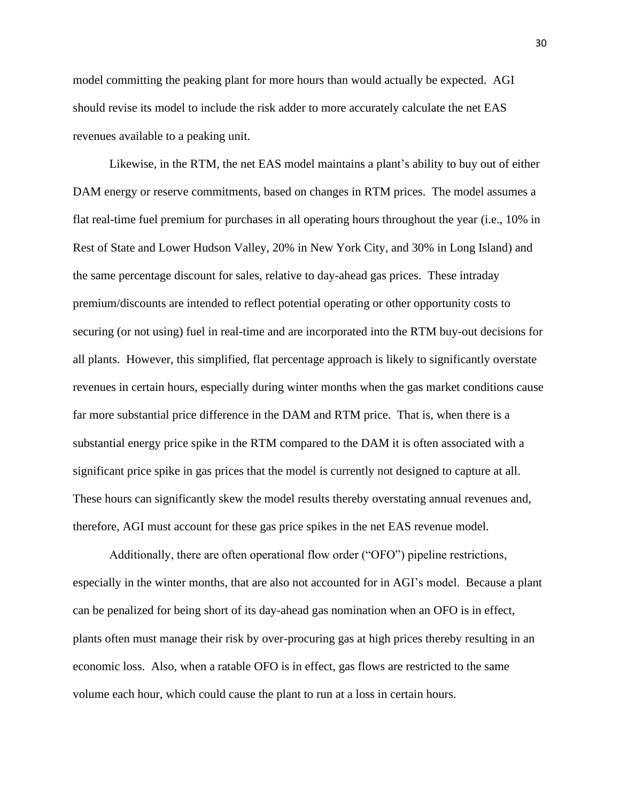model committing the peaking plant for more hours than would actually be expected. AGI should revise its model to include the risk adder to more accurately calculate the net EAS revenues available to a peaking unit.

Likewise, in the RTM, the net EAS model maintains a plant's ability to buy out of either DAM energy or reserve commitments, based on changes in RTM prices. The model assumes a flat real-time fuel premium for purchases in all operating hours throughout the year (i.e., 10% in Rest of State and Lower Hudson Valley, 20% in New York City, and 30% in Long Island) and the same percentage discount for sales, relative to day-ahead gas prices. These intraday premium/discounts are intended to reflect potential operating or other opportunity costs to securing (or not using) fuel in real-time and are incorporated into the RTM buy-out decisions for all plants. However, this simplified, flat percentage approach is likely to significantly overstate revenues in certain hours, especially during winter months when the gas market conditions cause far more substantial price difference in the DAM and RTM price. That is, when there is a substantial energy price spike in the RTM compared to the DAM it is often associated with a significant price spike in gas prices that the model is currently not designed to capture at all. These hours can significantly skew the model results thereby overstating annual revenues and, therefore, AGI must account for these gas price spikes in the net EAS revenue model.

Additionally, there are often operational flow order ("OFO") pipeline restrictions, especially in the winter months, that are also not accounted for in AGI's model. Because a plant can be penalized for being short of its day-ahead gas nomination when an OFO is in effect, plants often must manage their risk by over-procuring gas at high prices thereby resulting in an economic loss. Also, when a ratable OFO is in effect, gas flows are restricted to the same volume each hour, which could cause the plant to run at a loss in certain hours.